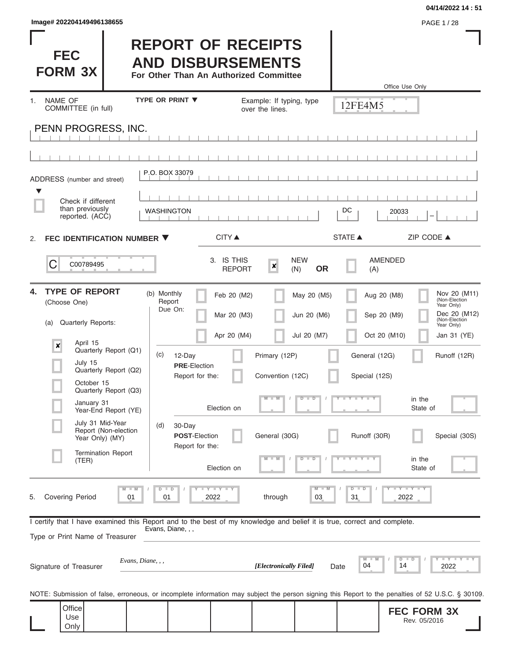| lmage# 202204149496138655 |  |
|---------------------------|--|
|---------------------------|--|

**04/14/2022 14 : 51**

I

|                                                                                                                                                            |                                                                                                 |                                             |                               | 04/14/2022 14:5                             |
|------------------------------------------------------------------------------------------------------------------------------------------------------------|-------------------------------------------------------------------------------------------------|---------------------------------------------|-------------------------------|---------------------------------------------|
| lmage# 202204149496138655                                                                                                                                  |                                                                                                 |                                             |                               | PAGE 1/28                                   |
| <b>FEC</b><br><b>FORM 3X</b>                                                                                                                               | <b>REPORT OF RECEIPTS</b><br><b>AND DISBURSEMENTS</b><br>For Other Than An Authorized Committee |                                             |                               |                                             |
| <b>NAME OF</b><br>1.<br>COMMITTEE (in full)                                                                                                                | <b>TYPE OR PRINT ▼</b>                                                                          | Example: If typing, type<br>over the lines. | Office Use Only<br>12FE4M5    |                                             |
| PENN PROGRESS, INC.                                                                                                                                        |                                                                                                 |                                             |                               |                                             |
|                                                                                                                                                            |                                                                                                 |                                             |                               |                                             |
| ADDRESS (number and street)                                                                                                                                | P.O. BOX 33079                                                                                  |                                             |                               |                                             |
|                                                                                                                                                            |                                                                                                 |                                             |                               |                                             |
| Check if different<br>than previously<br>reported. (ACC)                                                                                                   | <b>WASHINGTON</b>                                                                               |                                             | DC<br>20033                   |                                             |
| FEC IDENTIFICATION NUMBER ▼<br>2.                                                                                                                          | <b>CITY</b> ▲                                                                                   |                                             | <b>STATE ▲</b>                | ZIP CODE ▲                                  |
| C<br>C00789495                                                                                                                                             | 3. IS THIS<br><b>REPORT</b>                                                                     | <b>NEW</b><br>×<br><b>OR</b><br>(N)         | <b>AMENDED</b><br>(A)         |                                             |
| <b>TYPE OF REPORT</b><br>4.<br>(Choose One)                                                                                                                | (b) Monthly<br>Feb 20 (M2)<br>Report<br>Due On:                                                 | May 20 (M5)                                 | Aug 20 (M8)                   | Nov 20 (M11)<br>(Non-Election<br>Year Only) |
| Quarterly Reports:<br>(a)                                                                                                                                  | Mar 20 (M3)                                                                                     | Jun 20 (M6)                                 | Sep 20 (M9)                   | Dec 20 (M12)<br>(Non-Election<br>Year Only) |
| April 15<br>×<br>Quarterly Report (Q1)                                                                                                                     | Apr 20 (M4)<br>(c)<br>12-Day                                                                    | Jul 20 (M7)<br>Primary (12P)                | Oct 20 (M10)<br>General (12G) | Jan 31 (YE)<br>Runoff (12R)                 |
| July 15<br>Quarterly Report (Q2)                                                                                                                           | <b>PRE-Election</b><br>Report for the:                                                          | Convention (12C)                            | Special (12S)                 |                                             |
| October 15<br>Quarterly Report (Q3)                                                                                                                        |                                                                                                 | $M - M$<br>$D$ $D$                          | $T - Y - T - Y - T - Y$<br>Y  | in the                                      |
| January 31<br>Year-End Report (YE)                                                                                                                         | Election on                                                                                     |                                             |                               | State of                                    |
| July 31 Mid-Year<br>Report (Non-election<br>Year Only) (MY)                                                                                                | 30-Day<br>(d)<br><b>POST-Election</b><br>Report for the:                                        | General (30G)                               | Runoff (30R)                  | Special (30S)                               |
| <b>Termination Report</b><br>(TER)                                                                                                                         | Election on                                                                                     | $M - M$<br>$D$ $D$                          | $Y \sqcup Y \sqcup Y$<br>т    | in the<br>State of                          |
| Covering Period<br>5.<br>01                                                                                                                                | T<br>D<br>$\blacksquare$<br>2022<br>01                                                          | through<br>03                               | $\overline{D}$<br>31<br>2022  | $Y = Y = Y$                                 |
| I certify that I have examined this Report and to the best of my knowledge and belief it is true, correct and complete.<br>Type or Print Name of Treasurer | Evans, Diane, , ,                                                                               |                                             |                               |                                             |
| Evans, Diane, , ,<br>Signature of Treasurer                                                                                                                |                                                                                                 | [Electronically Filed]                      | D<br>M<br>04<br>14<br>Date    | $- Y$<br>Ð<br>2022                          |

NOTE: Submission of false, erroneous, or incomplete information may subject the person signing this Report to the penalties of 52 U.S.C. § 30109.

| $Q$ ffice |  |  |  | <b>FEC FORM 3X</b> |  |
|-----------|--|--|--|--------------------|--|
| Use       |  |  |  | 05/2016<br>Rev.    |  |
| Only      |  |  |  |                    |  |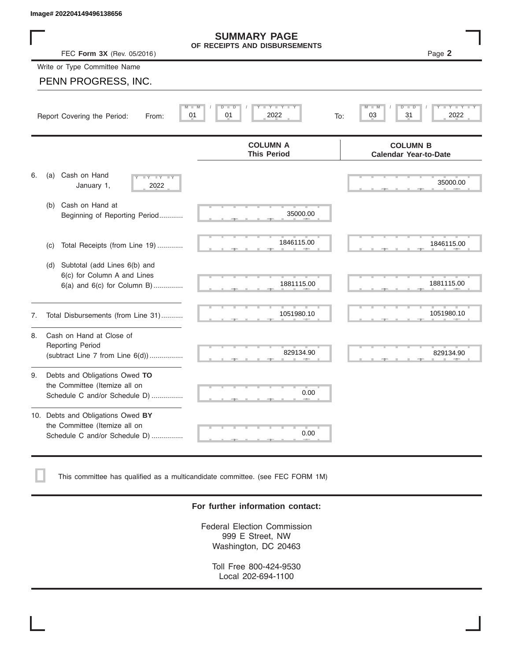| Image# 202204149496138656                                                                             |                                                        |                                                 |
|-------------------------------------------------------------------------------------------------------|--------------------------------------------------------|-------------------------------------------------|
| FEC Form 3X (Rev. 05/2016)                                                                            | <b>SUMMARY PAGE</b><br>OF RECEIPTS AND DISBURSEMENTS   | Page 2                                          |
| Write or Type Committee Name                                                                          |                                                        |                                                 |
| PENN PROGRESS, INC.                                                                                   |                                                        |                                                 |
| Report Covering the Period:<br>From:                                                                  | <b>LEYELEYELE</b><br>D<br>D<br>01<br>01<br>2022<br>To: | $Y - Y$<br>$\overline{D}$<br>03<br>31<br>2022   |
|                                                                                                       | <b>COLUMN A</b><br><b>This Period</b>                  | <b>COLUMN B</b><br><b>Calendar Year-to-Date</b> |
| Cash on Hand<br>6.<br>(a)<br>$-Y - IY$<br>$\overline{\mathbf{y}}$<br>January 1,<br>2022               |                                                        | 35000.00                                        |
| Cash on Hand at<br>(b)<br>Beginning of Reporting Period                                               | 35000.00                                               |                                                 |
| Total Receipts (from Line 19)<br>(c)                                                                  | 1846115.00                                             | 1846115.00                                      |
| Subtotal (add Lines 6(b) and<br>(d)<br>6(c) for Column A and Lines<br>6(a) and 6(c) for Column B)     | 1881115.00                                             | 1881115.00                                      |
| Total Disbursements (from Line 31)<br>7.                                                              | 1051980.10                                             | 1051980.10                                      |
| Cash on Hand at Close of<br>8.<br><b>Reporting Period</b><br>(subtract Line $7$ from Line $6(d)$ )    | 829134.90                                              | 829134.90                                       |
| Debts and Obligations Owed TO<br>9.<br>the Committee (Itemize all on<br>Schedule C and/or Schedule D) | 0.00                                                   |                                                 |
| 10. Debts and Obligations Owed BY<br>the Committee (Itemize all on<br>Schedule C and/or Schedule D)   | 0.00                                                   |                                                 |

This committee has qualified as a multicandidate committee. (see FEC FORM 1M)

## **For further information contact:**

Federal Election Commission 999 E Street, NW Washington, DC 20463

Toll Free 800-424-9530 Local 202-694-1100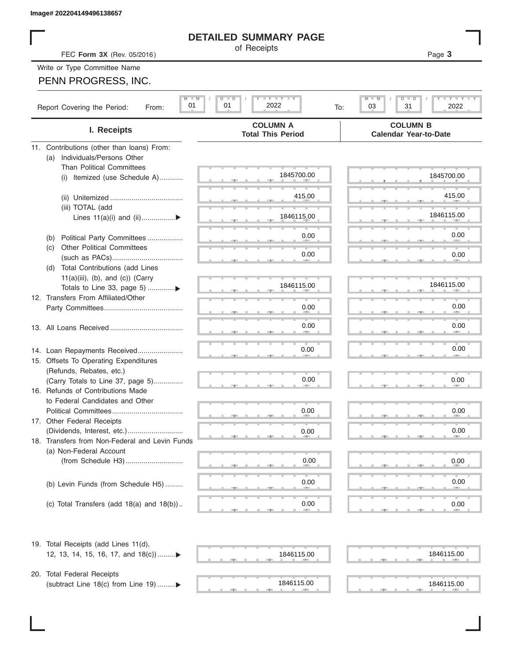# **DETAILED SUMMARY PAGE**

# PENN PROGRESS, INC.

|                                                                               | <b>DETAILED SUMMARY PAGE</b>                                                                                          |                                                      |
|-------------------------------------------------------------------------------|-----------------------------------------------------------------------------------------------------------------------|------------------------------------------------------|
| FEC Form 3X (Rev. 05/2016)                                                    | of Receipts                                                                                                           | Page 3                                               |
| Write or Type Committee Name                                                  |                                                                                                                       |                                                      |
| PENN PROGRESS, INC.                                                           |                                                                                                                       |                                                      |
|                                                                               |                                                                                                                       |                                                      |
| $M - M$<br>01<br>Report Covering the Period:<br>From:                         | $\mathbf{I}$ $\mathbf{Y}$ $\mathbf{I}$ $\mathbf{Y}$ $\mathbf{I}$ $\mathbf{Y}$<br>$D$ $\Box$<br>D<br>2022<br>01<br>To: | Y I Y I<br>$M$ $-$<br>$D$ $\Box$<br>03<br>31<br>2022 |
| I. Receipts                                                                   | <b>COLUMN A</b><br><b>Total This Period</b>                                                                           | <b>COLUMN B</b><br><b>Calendar Year-to-Date</b>      |
| 11. Contributions (other than loans) From:                                    |                                                                                                                       |                                                      |
| Individuals/Persons Other<br>(a)                                              |                                                                                                                       |                                                      |
| <b>Than Political Committees</b>                                              | 1845700.00                                                                                                            | 1845700.00                                           |
| (i) Itemized (use Schedule A)                                                 |                                                                                                                       |                                                      |
|                                                                               | 415.00                                                                                                                | 415.00                                               |
| (iii) TOTAL (add                                                              |                                                                                                                       |                                                      |
| Lines $11(a)(i)$ and $(ii)$                                                   | 1846115.00                                                                                                            | 1846115.00                                           |
|                                                                               | 0.00                                                                                                                  | 0.00                                                 |
| Political Party Committees<br>(b)<br><b>Other Political Committees</b><br>(C) |                                                                                                                       |                                                      |
|                                                                               | 0.00                                                                                                                  | 0.00                                                 |
| Total Contributions (add Lines<br>(d)                                         |                                                                                                                       |                                                      |
| $11(a)(iii)$ , (b), and (c)) (Carry                                           |                                                                                                                       | 1846115.00                                           |
| Totals to Line 33, page 5) ▶                                                  | 1846115.00                                                                                                            |                                                      |
| 12. Transfers From Affiliated/Other                                           | 0.00                                                                                                                  | 0.00                                                 |
|                                                                               |                                                                                                                       |                                                      |
|                                                                               | 0.00                                                                                                                  | 0.00                                                 |
|                                                                               |                                                                                                                       |                                                      |
| 14. Loan Repayments Received                                                  | 0.00                                                                                                                  | 0.00                                                 |
| 15. Offsets To Operating Expenditures                                         |                                                                                                                       |                                                      |
| (Refunds, Rebates, etc.)                                                      |                                                                                                                       |                                                      |
| (Carry Totals to Line 37, page 5)                                             | 0.00                                                                                                                  | 0.00                                                 |
| 16. Refunds of Contributions Made<br>to Federal Candidates and Other          |                                                                                                                       |                                                      |
| Political Committees                                                          | 0.00                                                                                                                  | 0.00                                                 |
| 17. Other Federal Receipts                                                    |                                                                                                                       |                                                      |
|                                                                               | 0.00                                                                                                                  | 0.00                                                 |
| 18. Transfers from Non-Federal and Levin Funds                                |                                                                                                                       |                                                      |
| (a) Non-Federal Account                                                       |                                                                                                                       |                                                      |
|                                                                               | 0.00                                                                                                                  | 0.00                                                 |
|                                                                               | 0.00                                                                                                                  | 0.00                                                 |
| (b) Levin Funds (from Schedule H5)                                            |                                                                                                                       |                                                      |
| (c) Total Transfers (add $18(a)$ and $18(b)$ )                                | 0.00                                                                                                                  | 0.00                                                 |
|                                                                               |                                                                                                                       |                                                      |
| 19. Total Receipts (add Lines 11(d),                                          |                                                                                                                       |                                                      |
| 12, 13, 14, 15, 16, 17, and 18(c))▶                                           | 1846115.00                                                                                                            | 1846115.00                                           |
| 20. Total Federal Receipts                                                    |                                                                                                                       |                                                      |
| (subtract Line 18(c) from Line 19)▶                                           | 1846115.00                                                                                                            | 1846115.00                                           |

 ▲ ▲ ▲ , , . ▲ ▲ ▲ , , . 1846115.00 1846115.00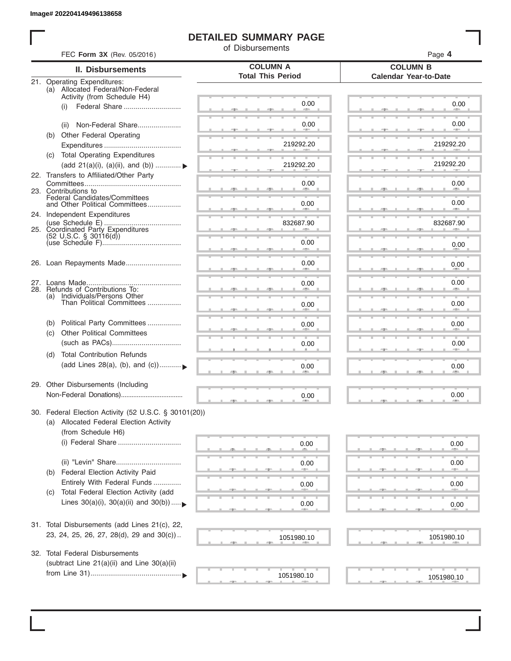# **DETAILED SUMMARY PAGE**

of Disbursements

| <b>II. Disbursements</b>                                                                        | <b>COLUMN A</b>                                                                                                                                                                                                                                                                                                                                                                                                                                                                                                                                                                                                                                      |                                                                                    |
|-------------------------------------------------------------------------------------------------|------------------------------------------------------------------------------------------------------------------------------------------------------------------------------------------------------------------------------------------------------------------------------------------------------------------------------------------------------------------------------------------------------------------------------------------------------------------------------------------------------------------------------------------------------------------------------------------------------------------------------------------------------|------------------------------------------------------------------------------------|
|                                                                                                 | <b>Total This Period</b>                                                                                                                                                                                                                                                                                                                                                                                                                                                                                                                                                                                                                             | <b>COLUMN B</b><br><b>Calendar Year-to-Date</b>                                    |
| 21. Operating Expenditures:<br>(a) Allocated Federal/Non-Federal<br>Activity (from Schedule H4) |                                                                                                                                                                                                                                                                                                                                                                                                                                                                                                                                                                                                                                                      |                                                                                    |
| (i)                                                                                             | 0.00                                                                                                                                                                                                                                                                                                                                                                                                                                                                                                                                                                                                                                                 | 0.00                                                                               |
| Non-Federal Share<br>(ii)                                                                       | 0.00                                                                                                                                                                                                                                                                                                                                                                                                                                                                                                                                                                                                                                                 | 0.00                                                                               |
| (b) Other Federal Operating                                                                     | 219292.20                                                                                                                                                                                                                                                                                                                                                                                                                                                                                                                                                                                                                                            | 219292.20                                                                          |
| (c) Total Operating Expenditures                                                                |                                                                                                                                                                                                                                                                                                                                                                                                                                                                                                                                                                                                                                                      |                                                                                    |
| (add 21(a)(i), (a)(ii), and (b))  ▶                                                             | 219292.20                                                                                                                                                                                                                                                                                                                                                                                                                                                                                                                                                                                                                                            | 219292.20                                                                          |
|                                                                                                 | 0.00                                                                                                                                                                                                                                                                                                                                                                                                                                                                                                                                                                                                                                                 | 0.00                                                                               |
| Federal Candidates/Committees<br>and Other Political Committees                                 | 0.00                                                                                                                                                                                                                                                                                                                                                                                                                                                                                                                                                                                                                                                 | 0.00<br>$\sim$                                                                     |
|                                                                                                 |                                                                                                                                                                                                                                                                                                                                                                                                                                                                                                                                                                                                                                                      | 832687.90                                                                          |
|                                                                                                 |                                                                                                                                                                                                                                                                                                                                                                                                                                                                                                                                                                                                                                                      |                                                                                    |
|                                                                                                 | 0.00<br><b>Allen</b>                                                                                                                                                                                                                                                                                                                                                                                                                                                                                                                                                                                                                                 | 0.00                                                                               |
|                                                                                                 | 0.00                                                                                                                                                                                                                                                                                                                                                                                                                                                                                                                                                                                                                                                 | 0.00                                                                               |
|                                                                                                 | 0.00                                                                                                                                                                                                                                                                                                                                                                                                                                                                                                                                                                                                                                                 | 0.00                                                                               |
| (a) Individuals/Persons Other<br>Than Political Committees                                      | 0.00                                                                                                                                                                                                                                                                                                                                                                                                                                                                                                                                                                                                                                                 | 0.00                                                                               |
| Political Party Committees<br>(b)                                                               | 0.00                                                                                                                                                                                                                                                                                                                                                                                                                                                                                                                                                                                                                                                 | 0.00                                                                               |
|                                                                                                 | 0.00                                                                                                                                                                                                                                                                                                                                                                                                                                                                                                                                                                                                                                                 | 0.00                                                                               |
| (d)<br>(add Lines 28(a), (b), and (c))                                                          | 0.00                                                                                                                                                                                                                                                                                                                                                                                                                                                                                                                                                                                                                                                 | 0.00                                                                               |
|                                                                                                 |                                                                                                                                                                                                                                                                                                                                                                                                                                                                                                                                                                                                                                                      | 0.00                                                                               |
|                                                                                                 |                                                                                                                                                                                                                                                                                                                                                                                                                                                                                                                                                                                                                                                      |                                                                                    |
| (a) Allocated Federal Election Activity                                                         |                                                                                                                                                                                                                                                                                                                                                                                                                                                                                                                                                                                                                                                      |                                                                                    |
| (i) Federal Share                                                                               | 0.00                                                                                                                                                                                                                                                                                                                                                                                                                                                                                                                                                                                                                                                 | 0.00                                                                               |
|                                                                                                 | 0.00                                                                                                                                                                                                                                                                                                                                                                                                                                                                                                                                                                                                                                                 | 0.00                                                                               |
| Federal Election Activity Paid<br>(b)                                                           |                                                                                                                                                                                                                                                                                                                                                                                                                                                                                                                                                                                                                                                      |                                                                                    |
| Total Federal Election Activity (add<br>(C)                                                     |                                                                                                                                                                                                                                                                                                                                                                                                                                                                                                                                                                                                                                                      | 0.00                                                                               |
|                                                                                                 | 0.00                                                                                                                                                                                                                                                                                                                                                                                                                                                                                                                                                                                                                                                 | 0.00                                                                               |
|                                                                                                 |                                                                                                                                                                                                                                                                                                                                                                                                                                                                                                                                                                                                                                                      |                                                                                    |
|                                                                                                 | 1051980.10                                                                                                                                                                                                                                                                                                                                                                                                                                                                                                                                                                                                                                           | 1051980.10                                                                         |
|                                                                                                 |                                                                                                                                                                                                                                                                                                                                                                                                                                                                                                                                                                                                                                                      |                                                                                    |
|                                                                                                 | 1051980.10                                                                                                                                                                                                                                                                                                                                                                                                                                                                                                                                                                                                                                           | 1051980.10                                                                         |
|                                                                                                 | 22. Transfers to Affiliated/Other Party<br>23. Contributions to<br>24. Independent Expenditures<br>25. Coordinated Party Expenditures<br>$(52 \text{ U.S.C. }$ § 30116(d))<br>26. Loan Repayments Made<br>28. Refunds of Contributions To:<br><b>Other Political Committees</b><br>(c)<br><b>Total Contribution Refunds</b><br>29. Other Disbursements (Including<br>(from Schedule H6)<br>Entirely With Federal Funds<br>Lines $30(a)(i)$ , $30(a)(ii)$ and $30(b))$<br>31. Total Disbursements (add Lines 21(c), 22,<br>23, 24, 25, 26, 27, 28(d), 29 and 30(c))<br>32. Total Federal Disbursements<br>(subtract Line 21(a)(ii) and Line 30(a)(ii) | 832687.90<br>0.00<br>30. Federal Election Activity (52 U.S.C. § 30101(20))<br>0.00 |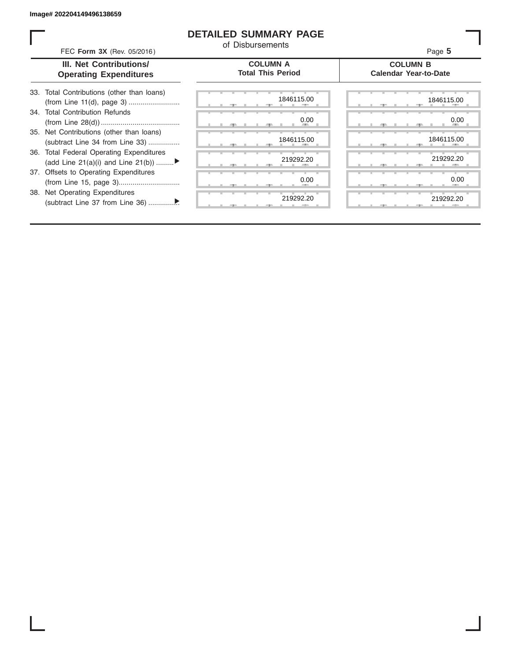## **DETAILED SUMMARY PAGE**

of Disbursements

FEC **Form 3X** (Rev. 05/2016) Page **5**

|  | III. Net Contributions/       |
|--|-------------------------------|
|  | <b>Operating Expenditures</b> |

**COLUMN A Total This Period**

### **COLUMN B Calendar Year-to-Date**

| 33. Total Contributions (other than loans) |
|--------------------------------------------|
| 34. Total Contribution Refunds             |
|                                            |
| 35. Net Contributions (other than loans)   |
| (subtract Line 34 from Line 33)            |
| 36. Total Federal Operating Expenditures   |
| (add Line 21(a)(i) and Line 21(b))         |
| 37. Offsets to Operating Expenditures      |
|                                            |
| 38. Net Operating Expenditures             |
|                                            |

| 1846115.00<br>--          | 1846115.0         |
|---------------------------|-------------------|
| 0.00<br><b>All Street</b> | 0.0               |
| 1846115.00<br>-90         | 1846115.0<br>-9   |
| 219292.20                 | 219292.2          |
| 0.00                      | 0. <sub>C</sub>   |
| 219292.20<br>$-7-$        | 219292.2<br>$-7-$ |

|  | 1846115.00                |    | 1846115.00          |
|--|---------------------------|----|---------------------|
|  | 0.00<br><b>All Street</b> |    | 0.00<br><b>CELL</b> |
|  | 1846115.00                |    | 1846115.00          |
|  | 219292.20                 | а. | 219292.20           |
|  | 0.00                      |    | 0.00                |
|  | 219292.20                 |    | 219292.20           |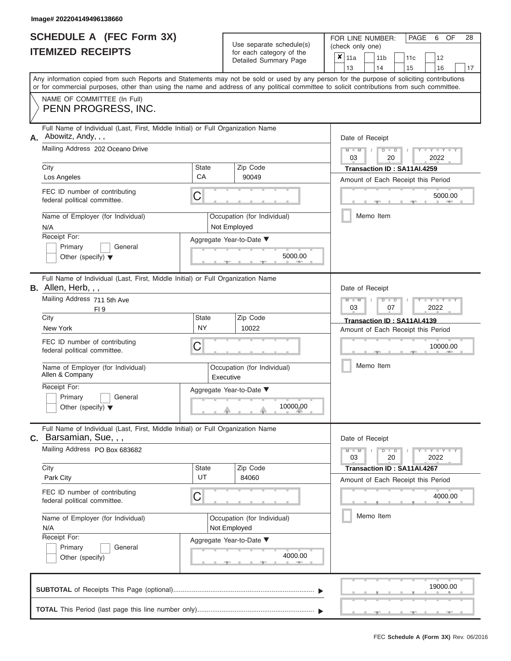|                          | SCHEDULE A (FEC Form 3X) |
|--------------------------|--------------------------|
| <b>ITEMIZED RECEIPTS</b> |                          |

| SCHEDULE A (FEC Form 3X)<br><b>ITEMIZED RECEIPTS</b>                                                                                                                                                                                                                                                                                                                                |                         | Use separate schedule(s)<br>for each category of the<br>Detailed Summary Page                           | 28<br>FOR LINE NUMBER:<br>PAGE<br>OF<br>6<br>(check only one)<br>$\boldsymbol{x}$<br>11a<br>11 <sub>b</sub><br>11c<br>12                                                      |
|-------------------------------------------------------------------------------------------------------------------------------------------------------------------------------------------------------------------------------------------------------------------------------------------------------------------------------------------------------------------------------------|-------------------------|---------------------------------------------------------------------------------------------------------|-------------------------------------------------------------------------------------------------------------------------------------------------------------------------------|
|                                                                                                                                                                                                                                                                                                                                                                                     |                         |                                                                                                         | 13<br>14<br>15<br>16<br>17                                                                                                                                                    |
| Any information copied from such Reports and Statements may not be sold or used by any person for the purpose of soliciting contributions<br>or for commercial purposes, other than using the name and address of any political committee to solicit contributions from such committee.                                                                                             |                         |                                                                                                         |                                                                                                                                                                               |
| NAME OF COMMITTEE (In Full)<br>PENN PROGRESS, INC.                                                                                                                                                                                                                                                                                                                                  |                         |                                                                                                         |                                                                                                                                                                               |
| Full Name of Individual (Last, First, Middle Initial) or Full Organization Name<br>Abowitz, Andy, , ,<br>А.<br>Mailing Address 202 Oceano Drive<br>City<br>State<br>CA<br>Los Angeles                                                                                                                                                                                               |                         | Zip Code<br>90049                                                                                       | Date of Receipt<br>$M - M$ /<br>$D$ $D$<br>$- Y$<br>03<br>20<br>2022<br>Transaction ID: SA11AI.4259                                                                           |
| FEC ID number of contributing<br>federal political committee.                                                                                                                                                                                                                                                                                                                       | С                       |                                                                                                         | Amount of Each Receipt this Period<br>5000.00<br><b>AND IN</b>                                                                                                                |
| Name of Employer (for Individual)<br>N/A<br>Receipt For:<br>Primary<br>General<br>Other (specify) $\blacktriangledown$                                                                                                                                                                                                                                                              |                         | Occupation (for Individual)<br>Not Employed<br>Aggregate Year-to-Date ▼<br>5000.00                      | Memo Item                                                                                                                                                                     |
| Full Name of Individual (Last, First, Middle Initial) or Full Organization Name<br>B. Allen, Herb, , ,<br>Mailing Address 711 5th Ave<br>FI <sub>9</sub><br>City<br>New York<br>FEC ID number of contributing<br>federal political committee.<br>Name of Employer (for Individual)<br>Allen & Company<br>Receipt For:<br>Primary<br>General<br>Other (specify) $\blacktriangledown$ | State<br><b>NY</b><br>С | Zip Code<br>10022<br>Occupation (for Individual)<br>Executive<br>Aggregate Year-to-Date ▼<br>10000.00   | Date of Receipt<br>$M - M$<br>$D$ $D$<br>Y Y<br>03<br>2022<br>07<br>Transaction ID: SA11AI.4139<br>Amount of Each Receipt this Period<br>10000.00<br>Memo Item                |
| Full Name of Individual (Last, First, Middle Initial) or Full Organization Name<br><b>C.</b> Barsamian, Sue, , ,<br>Mailing Address PO Box 683682<br>City<br>Park City<br>FEC ID number of contributing<br>federal political committee.<br>Name of Employer (for Individual)<br>N/A<br>Receipt For:<br>General<br>Primary<br>Other (specify)                                        | State<br>UT<br>С        | Zip Code<br>84060<br>Occupation (for Individual)<br>Not Employed<br>Aggregate Year-to-Date ▼<br>4000.00 | Date of Receipt<br>$M - M$<br>$D$ $D$<br>$T - Y = T - Y = T$<br>03<br>20<br>2022<br>Transaction ID: SA11AI.4267<br>Amount of Each Receipt this Period<br>4000.00<br>Memo Item |
|                                                                                                                                                                                                                                                                                                                                                                                     |                         |                                                                                                         | 19000.00                                                                                                                                                                      |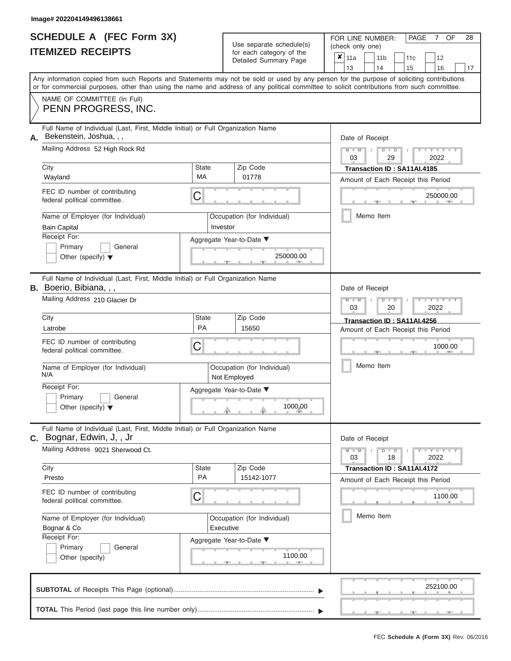|                          | <b>SCHEDULE A (FEC Form 3X)</b> |
|--------------------------|---------------------------------|
| <b>ITEMIZED RECEIPTS</b> |                                 |

| SCHEDULE A (FEC Form 3X)<br><b>ITEMIZED RECEIPTS</b>                                                                                                                                                                                                                                    |                           | Use separate schedule(s)<br>for each category of the | 28<br>FOR LINE NUMBER:<br>PAGE<br>OF<br>7<br>(check only one)<br>$\boldsymbol{x}$     |
|-----------------------------------------------------------------------------------------------------------------------------------------------------------------------------------------------------------------------------------------------------------------------------------------|---------------------------|------------------------------------------------------|---------------------------------------------------------------------------------------|
|                                                                                                                                                                                                                                                                                         |                           | Detailed Summary Page                                | 11a<br>11 <sub>b</sub><br>11c<br>12<br>13<br>14<br>15<br>16<br>17                     |
| Any information copied from such Reports and Statements may not be sold or used by any person for the purpose of soliciting contributions<br>or for commercial purposes, other than using the name and address of any political committee to solicit contributions from such committee. |                           |                                                      |                                                                                       |
| NAME OF COMMITTEE (In Full)<br>PENN PROGRESS, INC.                                                                                                                                                                                                                                      |                           |                                                      |                                                                                       |
| Full Name of Individual (Last, First, Middle Initial) or Full Organization Name<br>Bekenstein, Joshua, , ,<br>Mailing Address 52 High Rock Rd                                                                                                                                           |                           |                                                      | Date of Receipt<br>$M - M$<br>$D$ $D$<br>$-Y$                                         |
| City<br>Wayland                                                                                                                                                                                                                                                                         | <b>State</b><br>МA        | Zip Code<br>01778                                    | 03<br>29<br>2022<br>Transaction ID: SA11AI.4185<br>Amount of Each Receipt this Period |
| FEC ID number of contributing<br>federal political committee.                                                                                                                                                                                                                           | С                         |                                                      | 250000.00                                                                             |
| Name of Employer (for Individual)<br><b>Bain Capital</b>                                                                                                                                                                                                                                |                           | Occupation (for Individual)<br>Investor              | Memo Item                                                                             |
| Receipt For:<br>Primary<br>General<br>Other (specify) $\blacktriangledown$                                                                                                                                                                                                              |                           | Aggregate Year-to-Date ▼<br>250000.00                |                                                                                       |
| Full Name of Individual (Last, First, Middle Initial) or Full Organization Name<br><b>B.</b> Boerio, Bibiana, , ,                                                                                                                                                                       |                           |                                                      | Date of Receipt                                                                       |
| Mailing Address 210 Glacier Dr                                                                                                                                                                                                                                                          |                           |                                                      | $M - M$<br>$D$ $D$<br>Y I Y<br>03<br>2022<br>20                                       |
| City<br>Latrobe                                                                                                                                                                                                                                                                         | <b>State</b><br><b>PA</b> | Zip Code<br>15650                                    | Transaction ID: SA11AI.4256<br>Amount of Each Receipt this Period                     |
| FEC ID number of contributing<br>federal political committee.                                                                                                                                                                                                                           | С                         |                                                      | 1000.00                                                                               |
| Name of Employer (for Individual)<br>N/A                                                                                                                                                                                                                                                |                           | Occupation (for Individual)<br>Not Employed          | Memo Item                                                                             |
| Receipt For:<br>Primary<br>General<br>Other (specify) $\blacktriangledown$                                                                                                                                                                                                              |                           | Aggregate Year-to-Date ▼<br>1000.00                  |                                                                                       |
| Full Name of Individual (Last, First, Middle Initial) or Full Organization Name<br>C. Bognar, Edwin, J,, Jr                                                                                                                                                                             |                           |                                                      | Date of Receipt                                                                       |
| Mailing Address 9021 Sherwood Ct.                                                                                                                                                                                                                                                       |                           |                                                      | $M - M$<br>$D$ $D$<br>$\cdots$ Y $\cdots$ Y $\cdots$<br>03<br>18<br>2022              |
| City<br>Presto                                                                                                                                                                                                                                                                          | <b>State</b><br><b>PA</b> | Zip Code<br>15142-1077                               | Transaction ID: SA11AI.4172<br>Amount of Each Receipt this Period                     |
| FEC ID number of contributing<br>federal political committee.                                                                                                                                                                                                                           | С                         |                                                      | 1100.00                                                                               |
| Name of Employer (for Individual)<br>Bognar & Co<br>Receipt For:                                                                                                                                                                                                                        |                           | Occupation (for Individual)<br>Executive             | Memo Item                                                                             |
| Primary<br>General<br>Other (specify)                                                                                                                                                                                                                                                   |                           | Aggregate Year-to-Date ▼<br>1100.00                  |                                                                                       |
|                                                                                                                                                                                                                                                                                         |                           |                                                      | 252100.00                                                                             |
|                                                                                                                                                                                                                                                                                         |                           |                                                      |                                                                                       |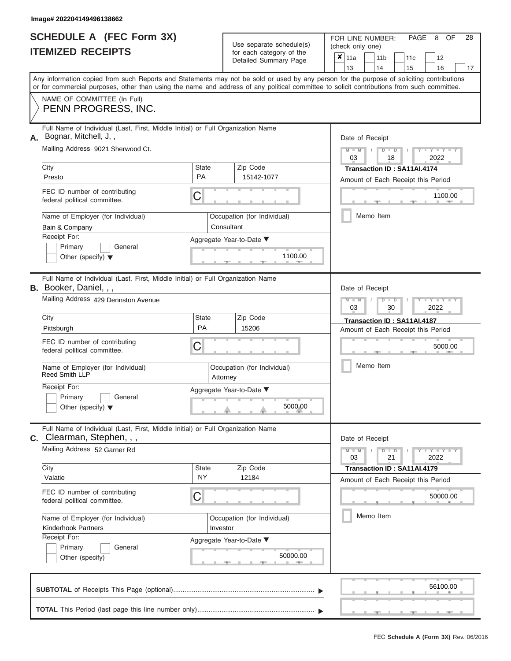| <b>SCHEDULE A (FEC Form 3X)</b> |  |
|---------------------------------|--|
| <b>ITEMIZED RECEIPTS</b>        |  |

| SCHEDULE A (FEC Form 3X)<br><b>ITEMIZED RECEIPTS</b>                                                                                                                                                                                                                                                                                                                                |                                     | Use separate schedule(s)<br>for each category of the<br>Detailed Summary Page                              | 28<br>FOR LINE NUMBER:<br>PAGE<br>OF<br>8<br>(check only one)<br>$\boldsymbol{x}$<br>11a<br>11 <sub>b</sub><br>11c<br>12<br>13<br>14<br>15<br>16<br>17                                           |
|-------------------------------------------------------------------------------------------------------------------------------------------------------------------------------------------------------------------------------------------------------------------------------------------------------------------------------------------------------------------------------------|-------------------------------------|------------------------------------------------------------------------------------------------------------|--------------------------------------------------------------------------------------------------------------------------------------------------------------------------------------------------|
| Any information copied from such Reports and Statements may not be sold or used by any person for the purpose of soliciting contributions<br>or for commercial purposes, other than using the name and address of any political committee to solicit contributions from such committee.<br>NAME OF COMMITTEE (In Full)<br>PENN PROGRESS, INC.                                       |                                     |                                                                                                            |                                                                                                                                                                                                  |
| Full Name of Individual (Last, First, Middle Initial) or Full Organization Name<br>Bognar, Mitchell, J,,<br>А.<br>Mailing Address 9021 Sherwood Ct.<br>City<br>Presto<br>FEC ID number of contributing<br>federal political committee.<br>Name of Employer (for Individual)<br>Bain & Company<br>Receipt For:<br>Primary<br>General<br>Other (specify) $\blacktriangledown$         | State<br><b>PA</b><br>С             | Zip Code<br>15142-1077<br>Occupation (for Individual)<br>Consultant<br>Aggregate Year-to-Date ▼<br>1100.00 | Date of Receipt<br>$M - M$<br>$D$ $D$<br>$Y - Y$<br>$\sqrt{ }$<br>03<br>2022<br>18<br>Transaction ID: SA11AI.4174<br>Amount of Each Receipt this Period<br>1100.00<br><b>AND IN</b><br>Memo Item |
| Full Name of Individual (Last, First, Middle Initial) or Full Organization Name<br><b>B.</b> Booker, Daniel, , ,<br>Mailing Address 429 Dennston Avenue<br>City<br>Pittsburgh<br>FEC ID number of contributing<br>federal political committee.<br>Name of Employer (for Individual)<br>Reed Smith LLP<br>Receipt For:<br>Primary<br>General<br>Other (specify) $\blacktriangledown$ | State<br>PA<br>С<br>Attorney        | Zip Code<br>15206<br>Occupation (for Individual)<br>Aggregate Year-to-Date ▼<br>5000.00                    | Date of Receipt<br>$M - M$<br>$D$ $\Box$ $D$<br>Y TY<br>03<br>2022<br>30<br>Transaction ID: SA11AI.4187<br>Amount of Each Receipt this Period<br>5000.00<br>Memo Item                            |
| Full Name of Individual (Last, First, Middle Initial) or Full Organization Name<br>C. Clearman, Stephen, , ,<br>Mailing Address 52 Garner Rd<br>City<br>Valatie<br>FEC ID number of contributing<br>federal political committee.<br>Name of Employer (for Individual)<br><b>Kinderhook Partners</b><br>Receipt For:<br>Primary<br>General<br>Other (specify)                        | State<br><b>NY</b><br>С<br>Investor | Zip Code<br>12184<br>Occupation (for Individual)<br>Aggregate Year-to-Date ▼<br>50000.00                   | Date of Receipt<br>$M - M$<br>$D$ $D$<br>$T-T$ $T$ $T$ $T$ $T$ $T$<br>21<br>03<br>2022<br>Transaction ID: SA11AI.4179<br>Amount of Each Receipt this Period<br>50000.00<br>Memo Item             |
|                                                                                                                                                                                                                                                                                                                                                                                     |                                     |                                                                                                            | 56100.00                                                                                                                                                                                         |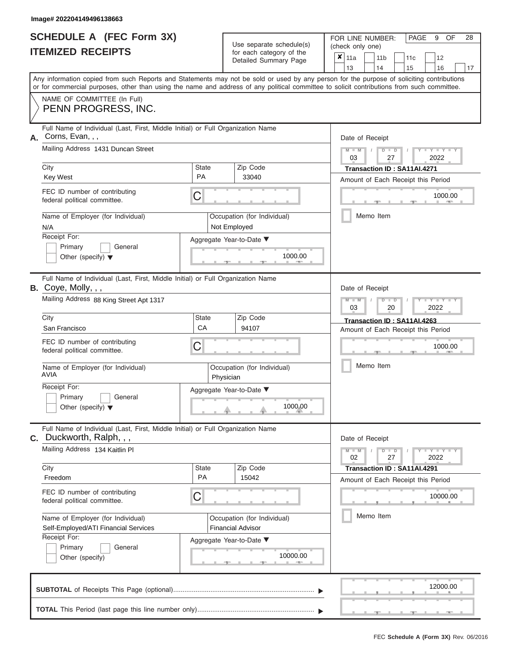|                          | SCHEDULE A (FEC Form 3X) |
|--------------------------|--------------------------|
| <b>ITEMIZED RECEIPTS</b> |                          |

|    | SCHEDULE A (FEC Form 3X)<br><b>ITEMIZED RECEIPTS</b>                                                                                                                                                                                                                                                                                          |                    | Use separate schedule(s)<br>for each category of the<br>Detailed Summary Page | 28<br>FOR LINE NUMBER:<br>PAGE<br>OF<br>9<br>(check only one)<br>$\boldsymbol{x}$  <br>11a<br>11 <sub>b</sub><br>12<br>11c |
|----|-----------------------------------------------------------------------------------------------------------------------------------------------------------------------------------------------------------------------------------------------------------------------------------------------------------------------------------------------|--------------------|-------------------------------------------------------------------------------|----------------------------------------------------------------------------------------------------------------------------|
|    | Any information copied from such Reports and Statements may not be sold or used by any person for the purpose of soliciting contributions<br>or for commercial purposes, other than using the name and address of any political committee to solicit contributions from such committee.<br>NAME OF COMMITTEE (In Full)<br>PENN PROGRESS, INC. |                    |                                                                               | 16<br>13<br>14<br>15<br>17                                                                                                 |
|    | Full Name of Individual (Last, First, Middle Initial) or Full Organization Name                                                                                                                                                                                                                                                               |                    |                                                                               |                                                                                                                            |
| А. | Corns, Evan, , ,<br>Mailing Address 1431 Duncan Street<br>City                                                                                                                                                                                                                                                                                | <b>State</b>       | Zip Code                                                                      | Date of Receipt<br>$M - M$<br>$D$ $D$<br>$\sqrt{ }$<br>03<br>27<br>2022<br>Transaction ID: SA11AI.4271                     |
|    | <b>Key West</b>                                                                                                                                                                                                                                                                                                                               | <b>PA</b>          | 33040                                                                         | Amount of Each Receipt this Period                                                                                         |
|    | FEC ID number of contributing<br>federal political committee.                                                                                                                                                                                                                                                                                 | С                  |                                                                               | 1000.00                                                                                                                    |
|    | Name of Employer (for Individual)<br>N/A                                                                                                                                                                                                                                                                                                      |                    | Occupation (for Individual)<br>Not Employed                                   | Memo Item                                                                                                                  |
|    | Receipt For:<br>Primary<br>General<br>Other (specify) $\blacktriangledown$                                                                                                                                                                                                                                                                    |                    | Aggregate Year-to-Date ▼<br>1000.00                                           |                                                                                                                            |
|    | Full Name of Individual (Last, First, Middle Initial) or Full Organization Name<br><b>B.</b> Coye, Molly, $,$ ,<br>Mailing Address 88 King Street Apt 1317                                                                                                                                                                                    |                    |                                                                               | Date of Receipt<br>$M - M$<br>$D$ $D$<br>Y Y                                                                               |
|    | City<br>San Francisco                                                                                                                                                                                                                                                                                                                         | <b>State</b><br>CA | Zip Code<br>94107                                                             | 03<br>20<br>2022<br>Transaction ID: SA11AI.4263<br>Amount of Each Receipt this Period                                      |
|    | FEC ID number of contributing<br>federal political committee.                                                                                                                                                                                                                                                                                 | С                  |                                                                               | 1000.00                                                                                                                    |
|    | Name of Employer (for Individual)<br>AVIA                                                                                                                                                                                                                                                                                                     |                    | Occupation (for Individual)<br>Physician                                      | Memo Item                                                                                                                  |
|    | Receipt For:<br>Primary<br>General<br>Other (specify) $\blacktriangledown$                                                                                                                                                                                                                                                                    |                    | Aggregate Year-to-Date ▼<br>1000.00                                           |                                                                                                                            |
|    | Full Name of Individual (Last, First, Middle Initial) or Full Organization Name<br>C. Duckworth, Ralph, , ,                                                                                                                                                                                                                                   |                    |                                                                               | Date of Receipt                                                                                                            |
|    | Mailing Address 134 Kaitlin Pl<br>City                                                                                                                                                                                                                                                                                                        | <b>State</b>       | Zip Code                                                                      | $M - M$<br>$D$ $D$<br>$\cdots$ Y $\cdots$ Y $\cdots$<br>02<br>27<br>2022                                                   |
|    | Freedom                                                                                                                                                                                                                                                                                                                                       | <b>PA</b>          | 15042                                                                         | Transaction ID: SA11AI.4291<br>Amount of Each Receipt this Period                                                          |
|    | FEC ID number of contributing<br>federal political committee.                                                                                                                                                                                                                                                                                 | С                  |                                                                               | 10000.00                                                                                                                   |
|    | Name of Employer (for Individual)<br>Self-Employed/ATI Financial Services                                                                                                                                                                                                                                                                     |                    | Occupation (for Individual)<br><b>Financial Advisor</b>                       | Memo Item                                                                                                                  |
|    | Receipt For:<br>Primary<br>General<br>Other (specify)                                                                                                                                                                                                                                                                                         |                    | Aggregate Year-to-Date ▼<br>10000.00                                          |                                                                                                                            |
|    |                                                                                                                                                                                                                                                                                                                                               |                    |                                                                               | 12000.00                                                                                                                   |
|    |                                                                                                                                                                                                                                                                                                                                               |                    |                                                                               |                                                                                                                            |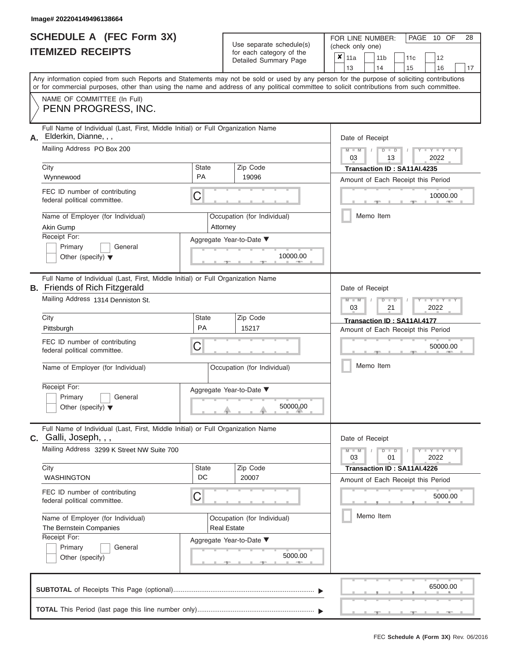| <b>SCHEDULE A (FEC Form 3X)</b> |  |
|---------------------------------|--|
| <b>ITEMIZED RECEIPTS</b>        |  |

| SCHEDULE A (FEC Form 3X)<br><b>ITEMIZED RECEIPTS</b>                                                                                       |             | Use separate schedule(s)<br>for each category of the<br>Detailed Summary Page | 28<br>FOR LINE NUMBER:<br>PAGE<br>10 OF<br>(check only one)<br>$\boldsymbol{x}$<br>11a<br>11 <sub>b</sub><br>12<br>11c |
|--------------------------------------------------------------------------------------------------------------------------------------------|-------------|-------------------------------------------------------------------------------|------------------------------------------------------------------------------------------------------------------------|
| Any information copied from such Reports and Statements may not be sold or used by any person for the purpose of soliciting contributions  |             |                                                                               | 13<br>14<br>15<br>16<br>17                                                                                             |
| or for commercial purposes, other than using the name and address of any political committee to solicit contributions from such committee. |             |                                                                               |                                                                                                                        |
| NAME OF COMMITTEE (In Full)<br>PENN PROGRESS, INC.                                                                                         |             |                                                                               |                                                                                                                        |
| Full Name of Individual (Last, First, Middle Initial) or Full Organization Name<br>Elderkin, Dianne, , ,<br>А.                             |             |                                                                               | Date of Receipt                                                                                                        |
| Mailing Address PO Box 200                                                                                                                 |             |                                                                               | $M - M$<br>$D$ $D$<br>$Y - Y$<br>$\sqrt{ }$<br>03<br>13<br>2022                                                        |
| City                                                                                                                                       | State       | Zip Code                                                                      | Transaction ID: SA11AI.4235                                                                                            |
| Wynnewood                                                                                                                                  | <b>PA</b>   | 19096                                                                         | Amount of Each Receipt this Period                                                                                     |
| FEC ID number of contributing<br>federal political committee.                                                                              | С           |                                                                               | 10000.00                                                                                                               |
| Name of Employer (for Individual)<br>Akin Gump                                                                                             |             | Occupation (for Individual)<br>Attorney                                       | Memo Item                                                                                                              |
| Receipt For:                                                                                                                               |             | Aggregate Year-to-Date ▼                                                      |                                                                                                                        |
| Primary<br>General<br>Other (specify) $\blacktriangledown$                                                                                 |             | 10000.00                                                                      |                                                                                                                        |
| Full Name of Individual (Last, First, Middle Initial) or Full Organization Name<br><b>B.</b> Friends of Rich Fitzgerald                    |             |                                                                               | Date of Receipt                                                                                                        |
| Mailing Address 1314 Denniston St.                                                                                                         |             |                                                                               | $M - M$<br>$D$ $\Box$ $D$<br>$Y - Y$<br>03<br>21<br>2022                                                               |
| City                                                                                                                                       | State       | Zip Code                                                                      | Transaction ID: SA11AI.4177                                                                                            |
| Pittsburgh                                                                                                                                 | PA          | 15217                                                                         | Amount of Each Receipt this Period                                                                                     |
| FEC ID number of contributing<br>federal political committee.                                                                              | С           |                                                                               | 50000.00                                                                                                               |
| Name of Employer (for Individual)                                                                                                          |             | Occupation (for Individual)                                                   | Memo Item                                                                                                              |
| Receipt For:                                                                                                                               |             | Aggregate Year-to-Date ▼                                                      |                                                                                                                        |
| Primary<br>General<br>Other (specify) $\blacktriangledown$                                                                                 |             | 50000.00                                                                      |                                                                                                                        |
| Full Name of Individual (Last, First, Middle Initial) or Full Organization Name<br>$c.$ Galli, Joseph, , ,                                 |             |                                                                               | Date of Receipt                                                                                                        |
| Mailing Address 3299 K Street NW Suite 700                                                                                                 |             |                                                                               | $M - M$<br>$D$ $D$<br>$T-T$ $T$ $T$ $T$ $T$ $T$<br>01<br>2022<br>03                                                    |
| City<br>WASHINGTON                                                                                                                         | State<br>DC | Zip Code<br>20007                                                             | Transaction ID: SA11AI.4226<br>Amount of Each Receipt this Period                                                      |
| FEC ID number of contributing<br>federal political committee.                                                                              | С           |                                                                               | 5000.00                                                                                                                |
| Name of Employer (for Individual)<br>The Bernstein Companies                                                                               |             | Occupation (for Individual)<br><b>Real Estate</b>                             | Memo Item                                                                                                              |
| Receipt For:<br>Aggregate Year-to-Date ▼                                                                                                   |             |                                                                               |                                                                                                                        |
| Primary<br>General<br>Other (specify)                                                                                                      |             | 5000.00                                                                       |                                                                                                                        |
|                                                                                                                                            |             |                                                                               | 65000.00                                                                                                               |
|                                                                                                                                            |             |                                                                               |                                                                                                                        |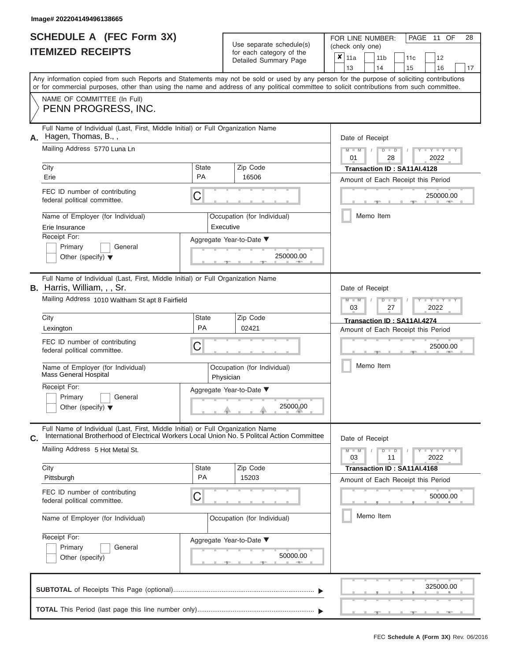| <b>SCHEDULE A (FEC Form 3X)</b> |  |
|---------------------------------|--|
| <b>ITEMIZED RECEIPTS</b>        |  |

|    | SCHEDULE A (FEC Form 3X)<br><b>ITEMIZED RECEIPTS</b>                                                                                                                                                                                                                                    |                    | Use separate schedule(s)<br>for each category of the | 28<br>FOR LINE NUMBER:<br>PAGE<br>11 OF<br>(check only one)                           |
|----|-----------------------------------------------------------------------------------------------------------------------------------------------------------------------------------------------------------------------------------------------------------------------------------------|--------------------|------------------------------------------------------|---------------------------------------------------------------------------------------|
|    |                                                                                                                                                                                                                                                                                         |                    | Detailed Summary Page                                | $\boldsymbol{x}$<br>11a<br>11 <sub>b</sub><br>12<br>11c<br>13<br>14<br>15<br>16<br>17 |
|    | Any information copied from such Reports and Statements may not be sold or used by any person for the purpose of soliciting contributions<br>or for commercial purposes, other than using the name and address of any political committee to solicit contributions from such committee. |                    |                                                      |                                                                                       |
|    | NAME OF COMMITTEE (In Full)<br>PENN PROGRESS, INC.                                                                                                                                                                                                                                      |                    |                                                      |                                                                                       |
| А. | Full Name of Individual (Last, First, Middle Initial) or Full Organization Name<br>Hagen, Thomas, B.,,                                                                                                                                                                                  |                    |                                                      | Date of Receipt                                                                       |
|    | Mailing Address 5770 Luna Ln                                                                                                                                                                                                                                                            |                    |                                                      | $M - M$<br>$D$ $D$<br>$Y - Y$<br>01<br>28<br>2022                                     |
|    | City<br>Erie                                                                                                                                                                                                                                                                            | State<br><b>PA</b> | Zip Code<br>16506                                    | Transaction ID: SA11AI.4128<br>Amount of Each Receipt this Period                     |
|    | FEC ID number of contributing<br>federal political committee.                                                                                                                                                                                                                           | С                  |                                                      | 250000.00                                                                             |
|    | Name of Employer (for Individual)<br>Erie Insurance                                                                                                                                                                                                                                     |                    | Occupation (for Individual)<br>Executive             | Memo Item                                                                             |
|    | Receipt For:<br>Primary<br>General<br>Other (specify) $\blacktriangledown$                                                                                                                                                                                                              |                    | Aggregate Year-to-Date ▼<br>250000.00                |                                                                                       |
|    | Full Name of Individual (Last, First, Middle Initial) or Full Organization Name<br>B. Harris, William, , , Sr.<br>Mailing Address 1010 Waltham St apt 8 Fairfield                                                                                                                       |                    |                                                      | Date of Receipt<br>$M - M$                                                            |
|    | City                                                                                                                                                                                                                                                                                    | State              | Zip Code                                             | $D$ $\Box$ $D$<br>Y I Y<br>03<br>2022<br>27                                           |
|    | Lexington                                                                                                                                                                                                                                                                               | PA                 | 02421                                                | Transaction ID: SA11AI.4274<br>Amount of Each Receipt this Period                     |
|    | FEC ID number of contributing<br>federal political committee.                                                                                                                                                                                                                           | С                  |                                                      | 25000.00                                                                              |
|    | Name of Employer (for Individual)<br>Mass General Hospital                                                                                                                                                                                                                              |                    | Occupation (for Individual)<br>Physician             | Memo Item                                                                             |
|    | Receipt For:<br>Primary<br>General                                                                                                                                                                                                                                                      |                    | Aggregate Year-to-Date ▼                             |                                                                                       |
|    | Other (specify) $\blacktriangledown$                                                                                                                                                                                                                                                    |                    | 25000.00                                             |                                                                                       |
| Ć. | Full Name of Individual (Last, First, Middle Initial) or Full Organization Name<br>International Brotherhood of Electrical Workers Local Union No. 5 Politcal Action Committee                                                                                                          |                    |                                                      | Date of Receipt                                                                       |
|    | Mailing Address 5 Hot Metal St.                                                                                                                                                                                                                                                         |                    |                                                      | $M - M$<br>$D$ $D$<br>$-1 - Y - 1 - Y - 1$<br>03<br>11<br>2022                        |
|    | City<br>Pittsburgh                                                                                                                                                                                                                                                                      | State<br><b>PA</b> | Zip Code<br>15203                                    | Transaction ID: SA11AI.4168<br>Amount of Each Receipt this Period                     |
|    | FEC ID number of contributing<br>federal political committee.                                                                                                                                                                                                                           | С                  |                                                      | 50000.00                                                                              |
|    | Name of Employer (for Individual)                                                                                                                                                                                                                                                       |                    | Occupation (for Individual)                          | Memo Item                                                                             |
|    | Receipt For:<br>Primary<br>General<br>Other (specify)                                                                                                                                                                                                                                   |                    | Aggregate Year-to-Date ▼<br>50000.00                 |                                                                                       |
|    |                                                                                                                                                                                                                                                                                         |                    |                                                      | 325000.00                                                                             |
|    |                                                                                                                                                                                                                                                                                         |                    |                                                      |                                                                                       |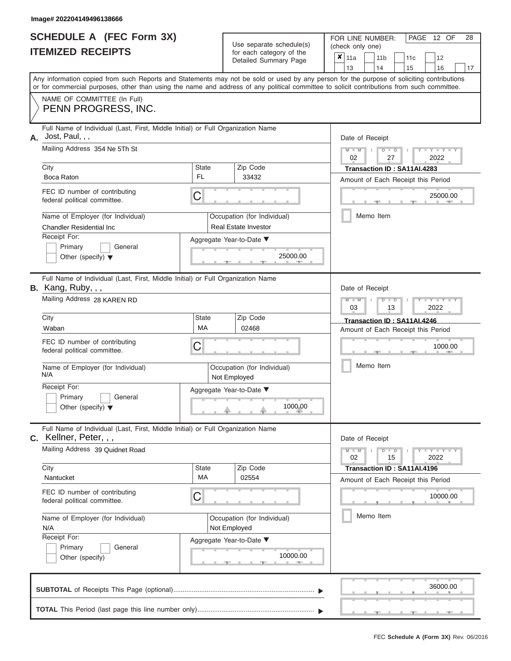|                          | SCHEDULE A (FEC Form 3X) |
|--------------------------|--------------------------|
| <b>ITEMIZED RECEIPTS</b> |                          |

| SCHEDULE A (FEC Form 3X)<br><b>ITEMIZED RECEIPTS</b>                                                                                 | Use separate schedule(s)<br>for each category of the                                                                                                                                                                                                                                    | 28<br>FOR LINE NUMBER:<br>PAGE 12 OF<br>(check only one)                           |
|--------------------------------------------------------------------------------------------------------------------------------------|-----------------------------------------------------------------------------------------------------------------------------------------------------------------------------------------------------------------------------------------------------------------------------------------|------------------------------------------------------------------------------------|
|                                                                                                                                      | Detailed Summary Page                                                                                                                                                                                                                                                                   | ×<br>11a<br>11 <sub>b</sub><br>12<br>11 <sub>c</sub><br>14<br>13<br>15<br>16<br>17 |
|                                                                                                                                      | Any information copied from such Reports and Statements may not be sold or used by any person for the purpose of soliciting contributions<br>or for commercial purposes, other than using the name and address of any political committee to solicit contributions from such committee. |                                                                                    |
| NAME OF COMMITTEE (In Full)<br>PENN PROGRESS, INC.                                                                                   |                                                                                                                                                                                                                                                                                         |                                                                                    |
| Full Name of Individual (Last, First, Middle Initial) or Full Organization Name<br>Jost, Paul, , ,<br>А.                             |                                                                                                                                                                                                                                                                                         | Date of Receipt                                                                    |
| Mailing Address 354 Ne 5Th St                                                                                                        |                                                                                                                                                                                                                                                                                         | $M - M$<br>$D$ $D$<br>$Y - Y - I$<br>02<br>27<br>2022                              |
| City<br>Boca Raton                                                                                                                   | <b>State</b><br>Zip Code<br>FL.<br>33432                                                                                                                                                                                                                                                | Transaction ID: SA11AI.4283<br>Amount of Each Receipt this Period                  |
| FEC ID number of contributing<br>federal political committee.                                                                        | С                                                                                                                                                                                                                                                                                       | 25000.00                                                                           |
| Name of Employer (for Individual)<br><b>Chandler Residential Inc</b>                                                                 | Occupation (for Individual)<br><b>Real Estate Investor</b>                                                                                                                                                                                                                              | Memo Item                                                                          |
| Receipt For:<br>Primary<br>General<br>Other (specify) $\blacktriangledown$                                                           | Aggregate Year-to-Date ▼<br>25000.00                                                                                                                                                                                                                                                    |                                                                                    |
| Full Name of Individual (Last, First, Middle Initial) or Full Organization Name<br>B. Kang, Ruby, , ,<br>Mailing Address 28 KAREN RD |                                                                                                                                                                                                                                                                                         | Date of Receipt<br>$M - M$<br>$D$ $D$<br>Y TYT<br>03<br>2022<br>13                 |
| City                                                                                                                                 | <b>State</b><br>Zip Code                                                                                                                                                                                                                                                                | Transaction ID: SA11AI.4246                                                        |
| Waban                                                                                                                                | МA<br>02468                                                                                                                                                                                                                                                                             | Amount of Each Receipt this Period                                                 |
| FEC ID number of contributing<br>federal political committee.                                                                        | С                                                                                                                                                                                                                                                                                       | 1000.00                                                                            |
| Name of Employer (for Individual)<br>N/A                                                                                             | Occupation (for Individual)<br>Not Employed                                                                                                                                                                                                                                             | Memo Item                                                                          |
| Receipt For:<br>Primary                                                                                                              | Aggregate Year-to-Date ▼                                                                                                                                                                                                                                                                |                                                                                    |
| General<br>Other (specify) $\blacktriangledown$                                                                                      | 1000.00                                                                                                                                                                                                                                                                                 |                                                                                    |
| Full Name of Individual (Last, First, Middle Initial) or Full Organization Name<br>C. Kellner, Peter, , ,                            |                                                                                                                                                                                                                                                                                         | Date of Receipt                                                                    |
| Mailing Address 39 Quidnet Road                                                                                                      |                                                                                                                                                                                                                                                                                         | $M - M$<br>$D$ $D$<br>$+Y+Y+Y$<br>02<br>15<br>2022                                 |
| City<br>Nantucket                                                                                                                    | Zip Code<br><b>State</b><br>MA<br>02554                                                                                                                                                                                                                                                 | Transaction ID: SA11AI.4196<br>Amount of Each Receipt this Period                  |
| FEC ID number of contributing<br>federal political committee.                                                                        | С                                                                                                                                                                                                                                                                                       | 10000.00                                                                           |
| Name of Employer (for Individual)<br>N/A                                                                                             | Occupation (for Individual)<br>Not Employed                                                                                                                                                                                                                                             | Memo Item                                                                          |
| Receipt For:<br>Primary<br>General<br>Other (specify)                                                                                | Aggregate Year-to-Date ▼<br>10000.00                                                                                                                                                                                                                                                    |                                                                                    |
|                                                                                                                                      |                                                                                                                                                                                                                                                                                         | 36000.00                                                                           |
|                                                                                                                                      |                                                                                                                                                                                                                                                                                         | $-1$                                                                               |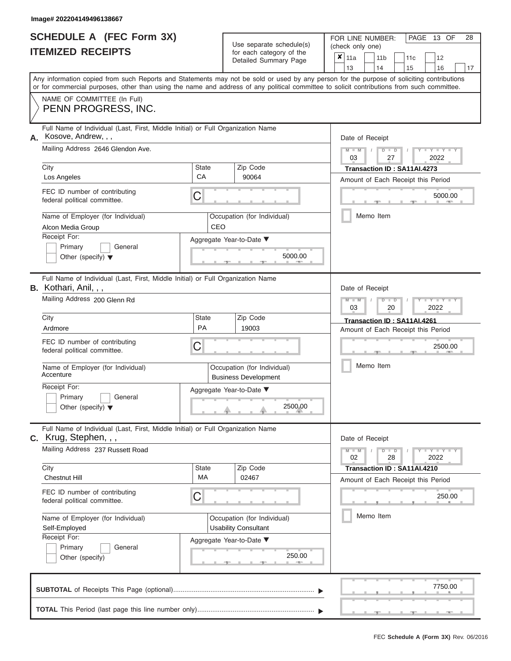|                          | SCHEDULE A (FEC Form 3X) |
|--------------------------|--------------------------|
| <b>ITEMIZED RECEIPTS</b> |                          |

Use separate schedule $(s)$  for each category of the

FOR LINE NUMBER:<br>(check only one)

PAGE 13 OF 28

|                                                                    | IIEMIZEU REVEIFIJ                                                                                                                                                                                                                                                                       |             |                                                            | for each category of the<br>Detailed Summary Page          |                                                                   | $\pmb{\times}$<br>11a                                      |                 |  | 11 <sub>b</sub>                    |               |  | 11c                                |      | 12                      |    |  |  |  |  |
|--------------------------------------------------------------------|-----------------------------------------------------------------------------------------------------------------------------------------------------------------------------------------------------------------------------------------------------------------------------------------|-------------|------------------------------------------------------------|------------------------------------------------------------|-------------------------------------------------------------------|------------------------------------------------------------|-----------------|--|------------------------------------|---------------|--|------------------------------------|------|-------------------------|----|--|--|--|--|
|                                                                    | Any information copied from such Reports and Statements may not be sold or used by any person for the purpose of soliciting contributions<br>or for commercial purposes, other than using the name and address of any political committee to solicit contributions from such committee. |             |                                                            |                                                            |                                                                   | 13                                                         |                 |  | 14                                 |               |  | 15                                 |      | 16                      | 17 |  |  |  |  |
|                                                                    | NAME OF COMMITTEE (In Full)<br>PENN PROGRESS, INC.                                                                                                                                                                                                                                      |             |                                                            |                                                            |                                                                   |                                                            |                 |  |                                    |               |  |                                    |      |                         |    |  |  |  |  |
| А.                                                                 | Full Name of Individual (Last, First, Middle Initial) or Full Organization Name<br>Kosove, Andrew, , ,                                                                                                                                                                                  |             |                                                            |                                                            |                                                                   | Date of Receipt                                            |                 |  |                                    |               |  |                                    |      |                         |    |  |  |  |  |
|                                                                    | Mailing Address 2646 Glendon Ave.                                                                                                                                                                                                                                                       |             |                                                            |                                                            |                                                                   | <b>THEY THEY</b><br>$M - M$<br>$D$ $D$<br>03<br>2022<br>27 |                 |  |                                    |               |  |                                    |      |                         |    |  |  |  |  |
|                                                                    | City                                                                                                                                                                                                                                                                                    | State<br>CA |                                                            | Zip Code<br>90064                                          | Transaction ID: SA11AI.4273<br>Amount of Each Receipt this Period |                                                            |                 |  |                                    |               |  |                                    |      |                         |    |  |  |  |  |
|                                                                    | Los Angeles                                                                                                                                                                                                                                                                             |             |                                                            |                                                            |                                                                   |                                                            |                 |  |                                    |               |  |                                    |      |                         |    |  |  |  |  |
|                                                                    | FEC ID number of contributing<br>federal political committee.                                                                                                                                                                                                                           | С           |                                                            |                                                            | 5000.00                                                           |                                                            |                 |  |                                    |               |  |                                    |      |                         |    |  |  |  |  |
|                                                                    | Name of Employer (for Individual)<br>Alcon Media Group                                                                                                                                                                                                                                  | <b>CEO</b>  |                                                            | Occupation (for Individual)                                | Memo Item                                                         |                                                            |                 |  |                                    |               |  |                                    |      |                         |    |  |  |  |  |
|                                                                    | Receipt For:                                                                                                                                                                                                                                                                            |             |                                                            | Aggregate Year-to-Date ▼                                   |                                                                   |                                                            |                 |  |                                    |               |  |                                    |      |                         |    |  |  |  |  |
|                                                                    | Primary<br>General<br>Other (specify) $\blacktriangledown$                                                                                                                                                                                                                              |             |                                                            | 5000.00                                                    |                                                                   |                                                            |                 |  |                                    |               |  |                                    |      |                         |    |  |  |  |  |
|                                                                    | Full Name of Individual (Last, First, Middle Initial) or Full Organization Name<br><b>B.</b> Kothari, Anil, , ,                                                                                                                                                                         |             |                                                            |                                                            |                                                                   | Date of Receipt                                            |                 |  |                                    |               |  |                                    |      |                         |    |  |  |  |  |
|                                                                    | Mailing Address 200 Glenn Rd                                                                                                                                                                                                                                                            |             |                                                            |                                                            |                                                                   | $M - M$<br>Y I Y I<br>$D$ $\Box$ $D$<br>2022<br>03<br>20   |                 |  |                                    |               |  |                                    |      |                         |    |  |  |  |  |
|                                                                    | City                                                                                                                                                                                                                                                                                    | State       |                                                            | Transaction ID: SA11AI.4261                                |                                                                   |                                                            |                 |  |                                    |               |  |                                    |      |                         |    |  |  |  |  |
|                                                                    | Ardmore                                                                                                                                                                                                                                                                                 | PA          |                                                            | 19003                                                      |                                                                   |                                                            |                 |  | Amount of Each Receipt this Period |               |  |                                    |      |                         |    |  |  |  |  |
|                                                                    | FEC ID number of contributing<br>federal political committee.                                                                                                                                                                                                                           | C           |                                                            |                                                            |                                                                   | 2500.00                                                    |                 |  |                                    |               |  |                                    |      |                         |    |  |  |  |  |
|                                                                    | Name of Employer (for Individual)<br>Accenture                                                                                                                                                                                                                                          |             | Occupation (for Individual)<br><b>Business Development</b> |                                                            |                                                                   |                                                            |                 |  |                                    | Memo Item     |  |                                    |      |                         |    |  |  |  |  |
|                                                                    | Receipt For:<br>Primary<br>General<br>Other (specify) $\blacktriangledown$                                                                                                                                                                                                              |             | Aggregate Year-to-Date ▼<br>2500.00                        |                                                            |                                                                   |                                                            |                 |  |                                    |               |  |                                    |      |                         |    |  |  |  |  |
|                                                                    | Full Name of Individual (Last, First, Middle Initial) or Full Organization Name<br>$c.$ Krug, Stephen, , ,                                                                                                                                                                              |             |                                                            |                                                            |                                                                   |                                                            | Date of Receipt |  |                                    |               |  |                                    |      |                         |    |  |  |  |  |
|                                                                    | Mailing Address 237 Russett Road                                                                                                                                                                                                                                                        |             |                                                            |                                                            |                                                                   |                                                            | $M - M$<br>02   |  |                                    | $D$ $D$<br>28 |  |                                    | 2022 | $Y - Y - Y - Y - I - Y$ |    |  |  |  |  |
|                                                                    | City                                                                                                                                                                                                                                                                                    | State<br>МA |                                                            | Zip Code                                                   |                                                                   |                                                            |                 |  |                                    |               |  | Transaction ID: SA11AI.4210        |      |                         |    |  |  |  |  |
|                                                                    | <b>Chestnut Hill</b>                                                                                                                                                                                                                                                                    |             |                                                            | 02467                                                      |                                                                   |                                                            |                 |  |                                    |               |  | Amount of Each Receipt this Period |      |                         |    |  |  |  |  |
|                                                                    | FEC ID number of contributing<br>federal political committee.                                                                                                                                                                                                                           | C           |                                                            |                                                            |                                                                   |                                                            |                 |  |                                    |               |  |                                    |      | 250.00                  |    |  |  |  |  |
| Name of Employer (for Individual)<br>Self-Employed<br>Receipt For: |                                                                                                                                                                                                                                                                                         |             |                                                            | Occupation (for Individual)<br><b>Usability Consultant</b> |                                                                   | Memo Item                                                  |                 |  |                                    |               |  |                                    |      |                         |    |  |  |  |  |
|                                                                    |                                                                                                                                                                                                                                                                                         |             |                                                            | Aggregate Year-to-Date ▼                                   |                                                                   |                                                            |                 |  |                                    |               |  |                                    |      |                         |    |  |  |  |  |
|                                                                    | Primary<br>General<br>Other (specify)                                                                                                                                                                                                                                                   |             |                                                            | 250.00<br>A                                                |                                                                   |                                                            |                 |  |                                    |               |  |                                    |      |                         |    |  |  |  |  |
|                                                                    |                                                                                                                                                                                                                                                                                         |             |                                                            |                                                            |                                                                   |                                                            |                 |  |                                    |               |  |                                    |      | 7750.00                 |    |  |  |  |  |
|                                                                    |                                                                                                                                                                                                                                                                                         |             |                                                            |                                                            |                                                                   |                                                            |                 |  |                                    |               |  |                                    |      |                         |    |  |  |  |  |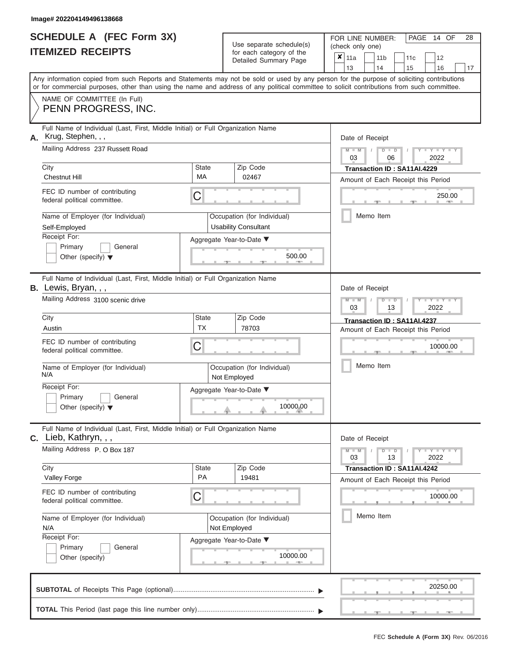|                          | <b>SCHEDULE A (FEC Form 3X)</b> |
|--------------------------|---------------------------------|
| <b>ITEMIZED RECEIPTS</b> |                                 |

| SCHEDULE A (FEC Form 3X)<br><b>ITEMIZED RECEIPTS</b>                                                                                                                                                                                                                                                                                                      |                         | Use separate schedule(s)<br>for each category of the<br>Detailed Summary Page                            | 28<br>FOR LINE NUMBER:<br>PAGE<br>14 OF<br>(check only one)<br>$\boldsymbol{x}$<br>11a<br>11 <sub>b</sub><br>12<br>11c                                                               |
|-----------------------------------------------------------------------------------------------------------------------------------------------------------------------------------------------------------------------------------------------------------------------------------------------------------------------------------------------------------|-------------------------|----------------------------------------------------------------------------------------------------------|--------------------------------------------------------------------------------------------------------------------------------------------------------------------------------------|
| Any information copied from such Reports and Statements may not be sold or used by any person for the purpose of soliciting contributions<br>or for commercial purposes, other than using the name and address of any political committee to solicit contributions from such committee.<br>NAME OF COMMITTEE (In Full)<br>PENN PROGRESS, INC.             |                         |                                                                                                          | 13<br>14<br>15<br>16<br>17                                                                                                                                                           |
| Full Name of Individual (Last, First, Middle Initial) or Full Organization Name<br>Krug, Stephen, , ,<br>А.<br>Mailing Address 237 Russett Road<br>City<br>State<br>MA<br><b>Chestnut Hill</b><br>FEC ID number of contributing<br>С<br>federal political committee.                                                                                      |                         | Zip Code<br>02467                                                                                        | Date of Receipt<br>$M - M$<br>$D$ $D$<br>$Y - Y$<br>$\sqrt{ }$<br>03<br>2022<br>06<br>Transaction ID: SA11AI.4229<br>Amount of Each Receipt this Period<br>250.00<br><b>AND</b>      |
| Name of Employer (for Individual)<br>Self-Employed<br>Receipt For:<br>Primary<br>General<br>Other (specify) $\blacktriangledown$                                                                                                                                                                                                                          |                         | Occupation (for Individual)<br><b>Usability Consultant</b><br>Aggregate Year-to-Date ▼<br>500.00         | Memo Item                                                                                                                                                                            |
| Full Name of Individual (Last, First, Middle Initial) or Full Organization Name<br>B. Lewis, Bryan, , ,<br>Mailing Address 3100 scenic drive<br>City<br>Austin<br>FEC ID number of contributing<br>federal political committee.<br>Name of Employer (for Individual)<br>N/A<br>Receipt For:<br>Primary<br>General<br>Other (specify) $\blacktriangledown$ | State<br><b>TX</b><br>С | Zip Code<br>78703<br>Occupation (for Individual)<br>Not Employed<br>Aggregate Year-to-Date ▼<br>10000.00 | Date of Receipt<br>$M - M$<br>$D$ $\Box$ $D$<br>Y I Y<br>03<br>2022<br>13<br>Transaction ID: SA11AI.4237<br>Amount of Each Receipt this Period<br>10000.00<br>Memo Item              |
| Full Name of Individual (Last, First, Middle Initial) or Full Organization Name<br>$c.$ Lieb, Kathryn, , ,<br>Mailing Address P. O Box 187<br>City<br>Valley Forge<br>FEC ID number of contributing<br>federal political committee.<br>Name of Employer (for Individual)<br>N/A<br>Receipt For:<br>Primary<br>General<br>Other (specify)                  | State<br><b>PA</b><br>С | Zip Code<br>19481<br>Occupation (for Individual)<br>Not Employed<br>Aggregate Year-to-Date ▼<br>10000.00 | Date of Receipt<br>$M - M$<br>$D$ $D$<br>$T-T$ $T$ $T$ $T$ $T$ $T$<br>13<br>2022<br>03<br>Transaction ID: SA11AI.4242<br>Amount of Each Receipt this Period<br>10000.00<br>Memo Item |
|                                                                                                                                                                                                                                                                                                                                                           |                         |                                                                                                          | 20250.00                                                                                                                                                                             |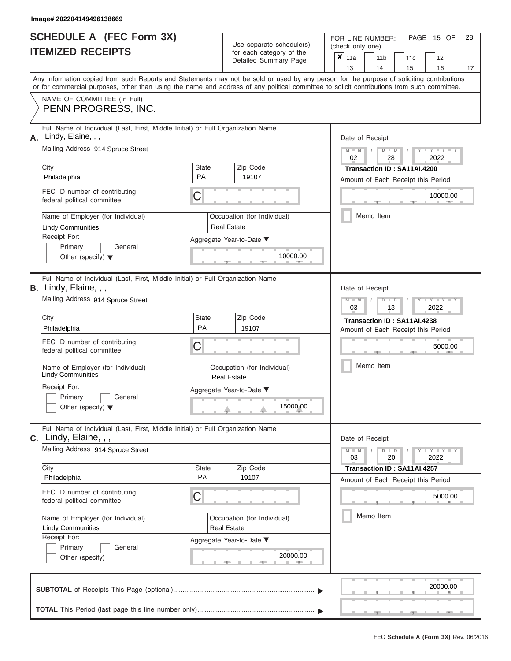|                          | SCHEDULE A (FEC Form 3X) |
|--------------------------|--------------------------|
| <b>ITEMIZED RECEIPTS</b> |                          |

| SCHEDULE A (FEC Form 3X)<br><b>ITEMIZED RECEIPTS</b>                          |                                                                                                                                                                                                                                                                                         |                                      | Use separate schedule(s)<br>for each category of the | 28<br>FOR LINE NUMBER:<br>PAGE<br>15 OF<br>(check only one) |                                   |                                                                          |  |  |  |  |  |  |
|-------------------------------------------------------------------------------|-----------------------------------------------------------------------------------------------------------------------------------------------------------------------------------------------------------------------------------------------------------------------------------------|--------------------------------------|------------------------------------------------------|-------------------------------------------------------------|-----------------------------------|--------------------------------------------------------------------------|--|--|--|--|--|--|
|                                                                               |                                                                                                                                                                                                                                                                                         |                                      | Detailed Summary Page                                | $\boldsymbol{x}$<br>11a<br>13                               | 11 <sub>b</sub><br>14             | 12<br>11c<br>15<br>16<br>17                                              |  |  |  |  |  |  |
|                                                                               | Any information copied from such Reports and Statements may not be sold or used by any person for the purpose of soliciting contributions<br>or for commercial purposes, other than using the name and address of any political committee to solicit contributions from such committee. |                                      |                                                      |                                                             |                                   |                                                                          |  |  |  |  |  |  |
|                                                                               | NAME OF COMMITTEE (In Full)<br>PENN PROGRESS, INC.                                                                                                                                                                                                                                      |                                      |                                                      |                                                             |                                   |                                                                          |  |  |  |  |  |  |
| А.                                                                            | Full Name of Individual (Last, First, Middle Initial) or Full Organization Name<br>Lindy, Elaine, , ,<br>Mailing Address 914 Spruce Street                                                                                                                                              |                                      |                                                      | $M - M$ /                                                   | Date of Receipt<br>$D$ $D$        | $-Y$                                                                     |  |  |  |  |  |  |
| City<br>Philadelphia                                                          |                                                                                                                                                                                                                                                                                         | State<br><b>PA</b>                   | Zip Code<br>19107                                    | 02                                                          | 28<br>Transaction ID: SA11AI.4200 | 2022<br>Amount of Each Receipt this Period                               |  |  |  |  |  |  |
|                                                                               | FEC ID number of contributing<br>federal political committee.                                                                                                                                                                                                                           | С                                    |                                                      |                                                             |                                   | 10000.00                                                                 |  |  |  |  |  |  |
|                                                                               | Name of Employer (for Individual)<br><b>Lindy Communities</b>                                                                                                                                                                                                                           |                                      | Occupation (for Individual)<br><b>Real Estate</b>    |                                                             | Memo Item                         |                                                                          |  |  |  |  |  |  |
| Receipt For:                                                                  | Primary<br>General<br>Other (specify) $\blacktriangledown$                                                                                                                                                                                                                              |                                      | Aggregate Year-to-Date ▼<br>10000.00                 |                                                             |                                   |                                                                          |  |  |  |  |  |  |
|                                                                               | Full Name of Individual (Last, First, Middle Initial) or Full Organization Name<br><b>B.</b> Lindy, Elaine, , ,<br>Mailing Address 914 Spruce Street                                                                                                                                    |                                      |                                                      | $M - M$<br>03                                               | Date of Receipt<br>$D$ $D$<br>13  | Y Y<br>2022                                                              |  |  |  |  |  |  |
| City<br>Philadelphia                                                          |                                                                                                                                                                                                                                                                                         | State<br>PA                          | Zip Code<br>19107                                    |                                                             | Transaction ID: SA11AI.4238       | Amount of Each Receipt this Period                                       |  |  |  |  |  |  |
|                                                                               | FEC ID number of contributing<br>federal political committee.                                                                                                                                                                                                                           | С                                    |                                                      |                                                             |                                   | 5000.00                                                                  |  |  |  |  |  |  |
|                                                                               | Name of Employer (for Individual)<br><b>Lindy Communities</b>                                                                                                                                                                                                                           |                                      | Occupation (for Individual)<br><b>Real Estate</b>    |                                                             | Memo Item                         |                                                                          |  |  |  |  |  |  |
| Receipt For:                                                                  | Primary<br>General<br>Other (specify) $\blacktriangledown$                                                                                                                                                                                                                              |                                      | Aggregate Year-to-Date ▼<br>15000.00                 |                                                             |                                   |                                                                          |  |  |  |  |  |  |
|                                                                               | Full Name of Individual (Last, First, Middle Initial) or Full Organization Name<br>C. Lindy, Elaine, , ,                                                                                                                                                                                |                                      |                                                      |                                                             | Date of Receipt                   |                                                                          |  |  |  |  |  |  |
|                                                                               | Mailing Address 914 Spruce Street                                                                                                                                                                                                                                                       |                                      |                                                      | $M - M$<br>03                                               | $D$ $D$<br>20                     | $\mathbf{I} = \mathbf{Y} + \mathbf{I} - \mathbf{Y} + \mathbf{I}$<br>2022 |  |  |  |  |  |  |
| City<br>Philadelphia                                                          |                                                                                                                                                                                                                                                                                         | State<br><b>PA</b>                   | Zip Code<br>19107                                    |                                                             | Transaction ID: SA11AI.4257       | Amount of Each Receipt this Period                                       |  |  |  |  |  |  |
|                                                                               | FEC ID number of contributing<br>federal political committee.                                                                                                                                                                                                                           | С                                    |                                                      |                                                             |                                   | 5000.00                                                                  |  |  |  |  |  |  |
| Name of Employer (for Individual)<br><b>Lindy Communities</b><br>Receipt For: |                                                                                                                                                                                                                                                                                         |                                      | Occupation (for Individual)<br><b>Real Estate</b>    |                                                             | Memo Item                         |                                                                          |  |  |  |  |  |  |
|                                                                               | Primary<br>General<br>Other (specify)                                                                                                                                                                                                                                                   | Aggregate Year-to-Date ▼<br>20000.00 |                                                      |                                                             |                                   |                                                                          |  |  |  |  |  |  |
|                                                                               |                                                                                                                                                                                                                                                                                         |                                      |                                                      |                                                             |                                   | 20000.00                                                                 |  |  |  |  |  |  |
|                                                                               |                                                                                                                                                                                                                                                                                         |                                      |                                                      |                                                             |                                   |                                                                          |  |  |  |  |  |  |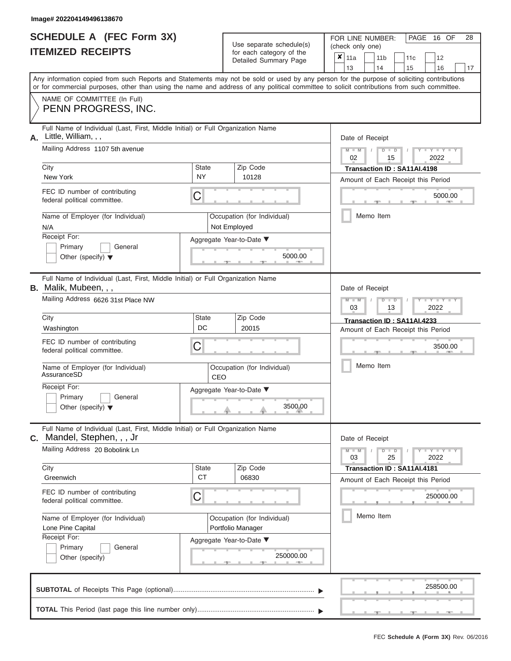ı

|                          | <b>SCHEDULE A (FEC Form 3X)</b> |
|--------------------------|---------------------------------|
| <b>ITEMIZED RECEIPTS</b> |                                 |

Use separate schedule(s)<br>for each category of the

FOR LINE NUMBER:<br>(check only one)

PAGE 16 OF 28

|    | IILMILLU INLVLII IV                                                                                                                                                                                                                                                                     |                           | iul cauli calcyuly ul lile<br>Detailed Summary Page | x                                                                 | 11a<br>13                                                                    |  |  | 11 <sub>b</sub><br>14                                             | 11c<br>15 |  | 12<br>16         | 17 |  |  |  |
|----|-----------------------------------------------------------------------------------------------------------------------------------------------------------------------------------------------------------------------------------------------------------------------------------------|---------------------------|-----------------------------------------------------|-------------------------------------------------------------------|------------------------------------------------------------------------------|--|--|-------------------------------------------------------------------|-----------|--|------------------|----|--|--|--|
|    | Any information copied from such Reports and Statements may not be sold or used by any person for the purpose of soliciting contributions<br>or for commercial purposes, other than using the name and address of any political committee to solicit contributions from such committee. |                           |                                                     |                                                                   |                                                                              |  |  |                                                                   |           |  |                  |    |  |  |  |
|    | NAME OF COMMITTEE (In Full)<br>PENN PROGRESS, INC.                                                                                                                                                                                                                                      |                           |                                                     |                                                                   |                                                                              |  |  |                                                                   |           |  |                  |    |  |  |  |
| А. | Full Name of Individual (Last, First, Middle Initial) or Full Organization Name<br>Little, William, , ,<br>Mailing Address 1107 5th avenue                                                                                                                                              |                           |                                                     |                                                                   | Date of Receipt                                                              |  |  |                                                                   |           |  |                  |    |  |  |  |
|    |                                                                                                                                                                                                                                                                                         |                           |                                                     |                                                                   | $M - M$<br>$D$ $\Box$ $D$<br>2022<br>02<br>15<br>Transaction ID: SA11AI.4198 |  |  |                                                                   |           |  |                  |    |  |  |  |
|    | City<br>New York                                                                                                                                                                                                                                                                        | <b>State</b><br><b>NY</b> | Zip Code<br>10128                                   | Amount of Each Receipt this Period                                |                                                                              |  |  |                                                                   |           |  |                  |    |  |  |  |
|    | FEC ID number of contributing<br>federal political committee.                                                                                                                                                                                                                           | C                         |                                                     |                                                                   |                                                                              |  |  |                                                                   |           |  | 5000.00          |    |  |  |  |
|    | Name of Employer (for Individual)<br>N/A                                                                                                                                                                                                                                                |                           | Occupation (for Individual)<br>Not Employed         |                                                                   |                                                                              |  |  | Memo Item                                                         |           |  |                  |    |  |  |  |
|    | Receipt For:<br>Primary<br>General<br>Other (specify) $\blacktriangledown$                                                                                                                                                                                                              |                           | Aggregate Year-to-Date ▼<br>5000.00                 |                                                                   |                                                                              |  |  |                                                                   |           |  |                  |    |  |  |  |
|    | Full Name of Individual (Last, First, Middle Initial) or Full Organization Name<br><b>B.</b> Malik, Mubeen, , ,                                                                                                                                                                         |                           |                                                     |                                                                   | Date of Receipt                                                              |  |  |                                                                   |           |  |                  |    |  |  |  |
|    | Mailing Address 6626 31st Place NW                                                                                                                                                                                                                                                      |                           |                                                     |                                                                   | $M - M$<br>$D$ $D$<br>2022<br>03<br>13                                       |  |  |                                                                   |           |  |                  |    |  |  |  |
|    | City<br>Washington                                                                                                                                                                                                                                                                      | <b>State</b><br>DC        | Zip Code<br>20015                                   | Transaction ID: SA11AI.4233<br>Amount of Each Receipt this Period |                                                                              |  |  |                                                                   |           |  |                  |    |  |  |  |
|    | FEC ID number of contributing<br>federal political committee.                                                                                                                                                                                                                           | C                         |                                                     |                                                                   | 3500.00                                                                      |  |  |                                                                   |           |  |                  |    |  |  |  |
|    | Name of Employer (for Individual)<br>AssuranceSD                                                                                                                                                                                                                                        | CEO                       | Occupation (for Individual)                         |                                                                   | Memo Item                                                                    |  |  |                                                                   |           |  |                  |    |  |  |  |
|    | Receipt For:<br>Primary<br>General<br>Other (specify) $\blacktriangledown$                                                                                                                                                                                                              |                           | Aggregate Year-to-Date ▼<br>3500.00                 |                                                                   |                                                                              |  |  |                                                                   |           |  |                  |    |  |  |  |
| С. | Full Name of Individual (Last, First, Middle Initial) or Full Organization Name<br>Mandel, Stephen, , , Jr                                                                                                                                                                              |                           |                                                     |                                                                   | Date of Receipt                                                              |  |  |                                                                   |           |  |                  |    |  |  |  |
|    | Mailing Address 20 Bobolink Ln                                                                                                                                                                                                                                                          |                           |                                                     |                                                                   | $M - M$<br>03                                                                |  |  | $D$ $\Box$ $D$<br>25                                              |           |  | $+Y+Y+Y$<br>2022 |    |  |  |  |
|    | City<br>Greenwich                                                                                                                                                                                                                                                                       | <b>State</b><br><b>CT</b> | Zip Code<br>06830                                   |                                                                   |                                                                              |  |  | Transaction ID: SA11AI.4181<br>Amount of Each Receipt this Period |           |  |                  |    |  |  |  |
|    | FEC ID number of contributing<br>federal political committee.                                                                                                                                                                                                                           | C                         |                                                     |                                                                   |                                                                              |  |  |                                                                   |           |  | 250000.00        |    |  |  |  |
|    | Name of Employer (for Individual)<br>Lone Pine Capital                                                                                                                                                                                                                                  |                           | Occupation (for Individual)<br>Portfolio Manager    |                                                                   | Memo Item                                                                    |  |  |                                                                   |           |  |                  |    |  |  |  |
|    | Receipt For:<br>Primary<br>General<br>Other (specify)                                                                                                                                                                                                                                   |                           | Aggregate Year-to-Date ▼<br>250000.00               |                                                                   |                                                                              |  |  |                                                                   |           |  |                  |    |  |  |  |
|    |                                                                                                                                                                                                                                                                                         |                           |                                                     |                                                                   |                                                                              |  |  |                                                                   |           |  | 258500.00        |    |  |  |  |
|    |                                                                                                                                                                                                                                                                                         |                           |                                                     |                                                                   |                                                                              |  |  |                                                                   |           |  |                  |    |  |  |  |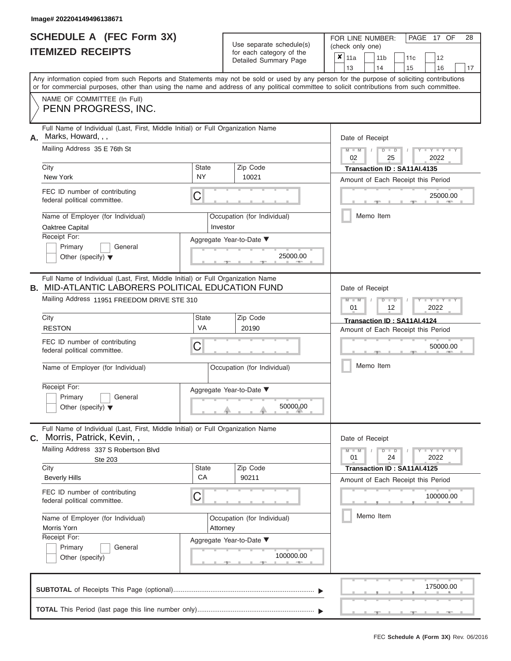H

|                          | <b>SCHEDULE A (FEC Form 3X)</b> |
|--------------------------|---------------------------------|
| <b>ITEMIZED RECEIPTS</b> |                                 |

|                                                              | SCHEDULE A (FEC Form 3X)<br><b>ITEMIZED RECEIPTS</b>                                                                                                                                                                                                                                    |                    | Use separate schedule(s)<br>for each category of the | 28<br>FOR LINE NUMBER:<br>PAGE 17 OF<br>(check only one)<br>×<br>11a<br>11 <sub>b</sub><br>12<br>11c  |
|--------------------------------------------------------------|-----------------------------------------------------------------------------------------------------------------------------------------------------------------------------------------------------------------------------------------------------------------------------------------|--------------------|------------------------------------------------------|-------------------------------------------------------------------------------------------------------|
|                                                              |                                                                                                                                                                                                                                                                                         |                    | Detailed Summary Page                                | 13<br>14<br>15<br>16<br>17                                                                            |
|                                                              | Any information copied from such Reports and Statements may not be sold or used by any person for the purpose of soliciting contributions<br>or for commercial purposes, other than using the name and address of any political committee to solicit contributions from such committee. |                    |                                                      |                                                                                                       |
|                                                              | NAME OF COMMITTEE (In Full)<br>PENN PROGRESS, INC.                                                                                                                                                                                                                                      |                    |                                                      |                                                                                                       |
|                                                              | Full Name of Individual (Last, First, Middle Initial) or Full Organization Name<br>A. Marks, Howard, , ,                                                                                                                                                                                |                    |                                                      | Date of Receipt                                                                                       |
|                                                              | Mailing Address 35 E 76th St                                                                                                                                                                                                                                                            |                    |                                                      | $M - M$ /<br>$D$ $D$<br>$Y - Y - I$<br>02<br>25<br>2022                                               |
|                                                              | City<br>New York                                                                                                                                                                                                                                                                        | State<br><b>NY</b> | Zip Code<br>10021                                    | Transaction ID: SA11AI.4135<br>Amount of Each Receipt this Period                                     |
|                                                              | FEC ID number of contributing<br>federal political committee.                                                                                                                                                                                                                           | С                  |                                                      | 25000.00                                                                                              |
|                                                              | Name of Employer (for Individual)<br>Oaktree Capital                                                                                                                                                                                                                                    |                    | Occupation (for Individual)<br>Investor              | Memo Item                                                                                             |
|                                                              | Receipt For:<br>Primary<br>General<br>Other (specify) $\blacktriangledown$                                                                                                                                                                                                              |                    | Aggregate Year-to-Date ▼<br>25000.00                 |                                                                                                       |
|                                                              | Full Name of Individual (Last, First, Middle Initial) or Full Organization Name<br><b>B. MID-ATLANTIC LABORERS POLITICAL EDUCATION FUND</b><br>Mailing Address 11951 FREEDOM DRIVE STE 310                                                                                              |                    |                                                      | Date of Receipt<br>$M - M$<br>$D$ $\Box$ $D$<br>Y TYT                                                 |
|                                                              | City<br><b>RESTON</b>                                                                                                                                                                                                                                                                   | State<br>VA        | Zip Code<br>20190                                    | 01<br>2022<br>12<br>Transaction ID: SA11AI.4124<br>Amount of Each Receipt this Period                 |
|                                                              | FEC ID number of contributing<br>federal political committee.                                                                                                                                                                                                                           | С                  |                                                      | 50000.00                                                                                              |
|                                                              | Name of Employer (for Individual)                                                                                                                                                                                                                                                       |                    | Occupation (for Individual)                          | Memo Item                                                                                             |
|                                                              | Receipt For:<br>Primary<br>General<br>Other (specify) $\blacktriangledown$                                                                                                                                                                                                              |                    | Aggregate Year-to-Date ▼<br>50000.00                 |                                                                                                       |
| С.                                                           | Full Name of Individual (Last, First, Middle Initial) or Full Organization Name<br>Morris, Patrick, Kevin,,                                                                                                                                                                             |                    |                                                      | Date of Receipt                                                                                       |
|                                                              | Mailing Address 337 S Robertson Blvd<br>Ste 203                                                                                                                                                                                                                                         |                    |                                                      | $M - M$<br>$D$ $D$<br>$\blacksquare$ $\vdash$ $\vdash$ $\vdash$ $\vdash$ $\vdash$<br>01<br>24<br>2022 |
|                                                              | City<br><b>Beverly Hills</b>                                                                                                                                                                                                                                                            | <b>State</b><br>CA | Zip Code<br>90211                                    | Transaction ID : SA11AI.4125<br>Amount of Each Receipt this Period                                    |
|                                                              | FEC ID number of contributing<br>federal political committee.                                                                                                                                                                                                                           | С                  |                                                      | 100000.00                                                                                             |
| Name of Employer (for Individual)<br>Morris Yorn<br>Attorney |                                                                                                                                                                                                                                                                                         |                    | Occupation (for Individual)                          | Memo Item                                                                                             |
|                                                              | Receipt For:<br>Primary<br>General<br>Other (specify)                                                                                                                                                                                                                                   |                    | Aggregate Year-to-Date ▼<br>100000.00                |                                                                                                       |
|                                                              |                                                                                                                                                                                                                                                                                         |                    |                                                      | 175000.00                                                                                             |
|                                                              |                                                                                                                                                                                                                                                                                         |                    |                                                      |                                                                                                       |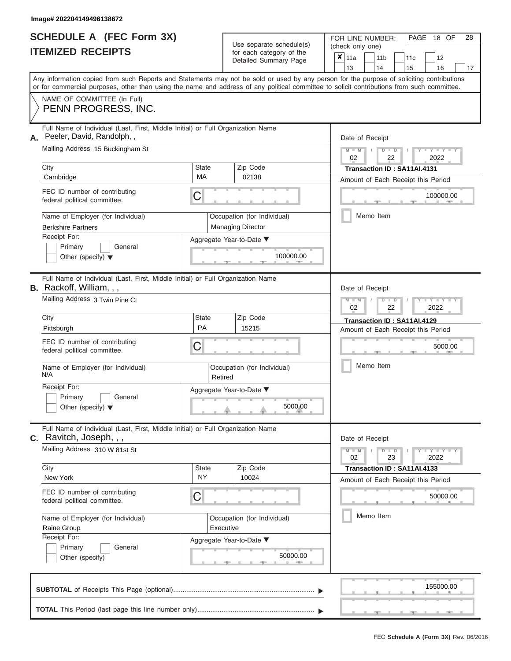|                          | <b>SCHEDULE A (FEC Form 3X)</b> |  |
|--------------------------|---------------------------------|--|
| <b>ITEMIZED RECEIPTS</b> |                                 |  |

Use separate schedule(s)<br>for each category of the

FOR LINE NUMBER:

PAGE 18 OF 28

| <b>ITEMIZED RECEIPTS</b>                                        |                                                                                                                                                                                                                                                                                         |                           | Use separate schedule(s)                                |           | (check only one)                                            |                                                                   |  |                       |                             |                                    |    |  |  |  |  |
|-----------------------------------------------------------------|-----------------------------------------------------------------------------------------------------------------------------------------------------------------------------------------------------------------------------------------------------------------------------------------|---------------------------|---------------------------------------------------------|-----------|-------------------------------------------------------------|-------------------------------------------------------------------|--|-----------------------|-----------------------------|------------------------------------|----|--|--|--|--|
|                                                                 |                                                                                                                                                                                                                                                                                         |                           | for each category of the<br>Detailed Summary Page       |           |                                                             | $x \mid$ 11a<br>13                                                |  | 11 <sub>b</sub><br>14 | 11c<br>15                   | 12<br>16                           | 17 |  |  |  |  |
|                                                                 | Any information copied from such Reports and Statements may not be sold or used by any person for the purpose of soliciting contributions<br>or for commercial purposes, other than using the name and address of any political committee to solicit contributions from such committee. |                           |                                                         |           |                                                             |                                                                   |  |                       |                             |                                    |    |  |  |  |  |
|                                                                 | NAME OF COMMITTEE (In Full)<br>PENN PROGRESS, INC.                                                                                                                                                                                                                                      |                           |                                                         |           |                                                             |                                                                   |  |                       |                             |                                    |    |  |  |  |  |
| Α.                                                              | Full Name of Individual (Last, First, Middle Initial) or Full Organization Name<br>Peeler, David, Randolph,,                                                                                                                                                                            |                           |                                                         |           |                                                             | Date of Receipt                                                   |  |                       |                             |                                    |    |  |  |  |  |
|                                                                 | Mailing Address 15 Buckingham St                                                                                                                                                                                                                                                        |                           |                                                         |           | $M - M$<br>$T - Y = Y - T Y$<br>$D$ $D$<br>02<br>2022<br>22 |                                                                   |  |                       |                             |                                    |    |  |  |  |  |
| City<br>Cambridge                                               |                                                                                                                                                                                                                                                                                         | State<br>МA               | Zip Code<br>02138                                       |           |                                                             |                                                                   |  |                       | Transaction ID: SA11AI.4131 | Amount of Each Receipt this Period |    |  |  |  |  |
| federal political committee.                                    | FEC ID number of contributing                                                                                                                                                                                                                                                           | С                         |                                                         |           |                                                             |                                                                   |  |                       |                             | 100000.00                          |    |  |  |  |  |
| <b>Berkshire Partners</b>                                       | Name of Employer (for Individual)                                                                                                                                                                                                                                                       |                           | Occupation (for Individual)<br><b>Managing Director</b> |           |                                                             |                                                                   |  | Memo Item             |                             |                                    |    |  |  |  |  |
| Receipt For:<br>Primary<br>Other (specify) $\blacktriangledown$ | General                                                                                                                                                                                                                                                                                 |                           | Aggregate Year-to-Date ▼                                | 100000.00 |                                                             |                                                                   |  |                       |                             |                                    |    |  |  |  |  |
| <b>B.</b> Rackoff, William, , ,                                 | Full Name of Individual (Last, First, Middle Initial) or Full Organization Name                                                                                                                                                                                                         |                           |                                                         |           |                                                             | Date of Receipt                                                   |  |                       |                             |                                    |    |  |  |  |  |
|                                                                 | Mailing Address 3 Twin Pine Ct                                                                                                                                                                                                                                                          |                           |                                                         |           | $M - M$<br>Y I Y I Y<br>$D$ $\Box$ $D$<br>2022<br>02<br>22  |                                                                   |  |                       |                             |                                    |    |  |  |  |  |
| City<br>Pittsburgh                                              |                                                                                                                                                                                                                                                                                         | State<br>PA               | Zip Code<br>15215                                       |           |                                                             | Transaction ID: SA11AI.4129<br>Amount of Each Receipt this Period |  |                       |                             |                                    |    |  |  |  |  |
| federal political committee.                                    | FEC ID number of contributing                                                                                                                                                                                                                                                           | C                         | Occupation (for Individual)<br>Retired                  |           |                                                             |                                                                   |  | 5000.00<br>Memo Item  |                             |                                    |    |  |  |  |  |
| N/A                                                             | Name of Employer (for Individual)                                                                                                                                                                                                                                                       |                           |                                                         |           |                                                             |                                                                   |  |                       |                             |                                    |    |  |  |  |  |
| Receipt For:<br>Primary<br>Other (specify) $\blacktriangledown$ | General                                                                                                                                                                                                                                                                                 |                           | Aggregate Year-to-Date ▼                                |           |                                                             |                                                                   |  |                       |                             |                                    |    |  |  |  |  |
| $c.$ Ravitch, Joseph, , ,                                       | Full Name of Individual (Last, First, Middle Initial) or Full Organization Name                                                                                                                                                                                                         |                           |                                                         |           |                                                             | Date of Receipt                                                   |  |                       |                             |                                    |    |  |  |  |  |
|                                                                 | Mailing Address 310 W 81st St                                                                                                                                                                                                                                                           |                           |                                                         |           |                                                             | $M - M$<br>02                                                     |  | $D$ $\Box$ $D$<br>23  |                             | $Y - Y - Y - Y - Y$<br>2022        |    |  |  |  |  |
| City<br>New York                                                |                                                                                                                                                                                                                                                                                         | <b>State</b><br><b>NY</b> | Zip Code<br>10024                                       |           |                                                             |                                                                   |  |                       | Transaction ID: SA11AI.4133 | Amount of Each Receipt this Period |    |  |  |  |  |
| federal political committee.                                    | FEC ID number of contributing                                                                                                                                                                                                                                                           | С                         |                                                         |           |                                                             |                                                                   |  |                       |                             | 50000.00                           |    |  |  |  |  |
| Raine Group                                                     | Name of Employer (for Individual)                                                                                                                                                                                                                                                       |                           | Occupation (for Individual)<br>Executive                |           |                                                             |                                                                   |  | Memo Item             |                             |                                    |    |  |  |  |  |
| Receipt For:<br>Primary<br>General<br>Other (specify)           |                                                                                                                                                                                                                                                                                         |                           | Aggregate Year-to-Date ▼                                |           |                                                             |                                                                   |  |                       |                             |                                    |    |  |  |  |  |
|                                                                 |                                                                                                                                                                                                                                                                                         |                           |                                                         |           |                                                             |                                                                   |  |                       |                             | 155000.00                          |    |  |  |  |  |
|                                                                 |                                                                                                                                                                                                                                                                                         |                           |                                                         |           |                                                             |                                                                   |  |                       |                             |                                    |    |  |  |  |  |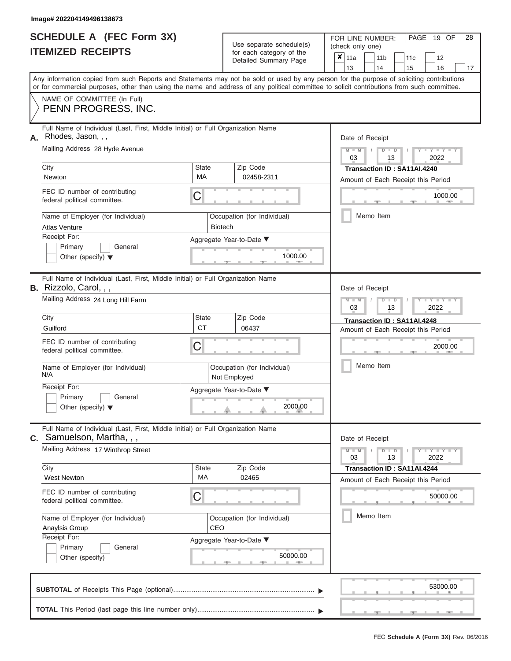|                          | <b>SCHEDULE A (FEC Form 3X)</b> |
|--------------------------|---------------------------------|
| <b>ITEMIZED RECEIPTS</b> |                                 |

| SCHEDULE A (FEC Form 3X)<br><b>ITEMIZED RECEIPTS</b>                                                                                                                                                                                                                                                                                                                  |                                    | Use separate schedule(s)<br>for each category of the<br>Detailed Summary Page                           | 28<br>FOR LINE NUMBER:<br>PAGE<br>19 OF<br>(check only one)<br>$\boldsymbol{x}$<br>11a<br>11 <sub>b</sub><br>12<br>11c                                                                    |
|-----------------------------------------------------------------------------------------------------------------------------------------------------------------------------------------------------------------------------------------------------------------------------------------------------------------------------------------------------------------------|------------------------------------|---------------------------------------------------------------------------------------------------------|-------------------------------------------------------------------------------------------------------------------------------------------------------------------------------------------|
|                                                                                                                                                                                                                                                                                                                                                                       |                                    |                                                                                                         | 13<br>14<br>15<br>16<br>17                                                                                                                                                                |
| Any information copied from such Reports and Statements may not be sold or used by any person for the purpose of soliciting contributions<br>or for commercial purposes, other than using the name and address of any political committee to solicit contributions from such committee.                                                                               |                                    |                                                                                                         |                                                                                                                                                                                           |
| NAME OF COMMITTEE (In Full)<br>PENN PROGRESS, INC.                                                                                                                                                                                                                                                                                                                    |                                    |                                                                                                         |                                                                                                                                                                                           |
| Full Name of Individual (Last, First, Middle Initial) or Full Organization Name<br>Rhodes, Jason, , ,<br>А.<br>Mailing Address 28 Hyde Avenue<br>City<br>Newton<br>FEC ID number of contributing<br>federal political committee.<br>Name of Employer (for Individual)<br><b>Atlas Venture</b>                                                                         | State<br>MA<br>С<br><b>Biotech</b> | Zip Code<br>02458-2311<br>Occupation (for Individual)                                                   | Date of Receipt<br>$M - M$ /<br>$D$ $D$<br>$- Y$<br>03<br>2022<br>13<br>Transaction ID: SA11AI.4240<br>Amount of Each Receipt this Period<br>1000.00<br>Memo Item                         |
| Receipt For:<br>Primary<br>General<br>Other (specify) $\blacktriangledown$                                                                                                                                                                                                                                                                                            |                                    | Aggregate Year-to-Date ▼<br>1000.00                                                                     |                                                                                                                                                                                           |
| Full Name of Individual (Last, First, Middle Initial) or Full Organization Name<br><b>B.</b> Rizzolo, Carol, , ,<br>Mailing Address 24 Long Hill Farm<br>City<br>Guilford<br>FEC ID number of contributing<br>federal political committee.<br>Name of Employer (for Individual)<br>N/A<br>Receipt For:<br>Primary<br>General<br>Other (specify) $\blacktriangledown$  | State<br><b>CT</b><br>С            | Zip Code<br>06437<br>Occupation (for Individual)<br>Not Employed<br>Aggregate Year-to-Date ▼<br>2000.00 | Date of Receipt<br>$M - M$<br>$D$ $D$<br>Y Y<br>03<br>2022<br>13<br>Transaction ID: SA11AI.4248<br>Amount of Each Receipt this Period<br>2000.00<br>Memo Item                             |
| Full Name of Individual (Last, First, Middle Initial) or Full Organization Name<br>$c.$ Samuelson, Martha, $,$ ,<br>Mailing Address 17 Winthrop Street<br>City<br><b>West Newton</b><br>FEC ID number of contributing<br>federal political committee.<br>Name of Employer (for Individual)<br>Anaylsis Group<br>Receipt For:<br>Primary<br>General<br>Other (specify) | State<br>MA<br>С<br>CEO            | Zip Code<br>02465<br>Occupation (for Individual)<br>Aggregate Year-to-Date ▼<br>50000.00                | Date of Receipt<br>$M - M$<br>$D$ $D$<br>$\cdots$ Y $\cdots$ Y $\cdots$<br>03<br>13<br>2022<br>Transaction ID: SA11AI.4244<br>Amount of Each Receipt this Period<br>50000.00<br>Memo Item |
|                                                                                                                                                                                                                                                                                                                                                                       |                                    |                                                                                                         | 53000.00                                                                                                                                                                                  |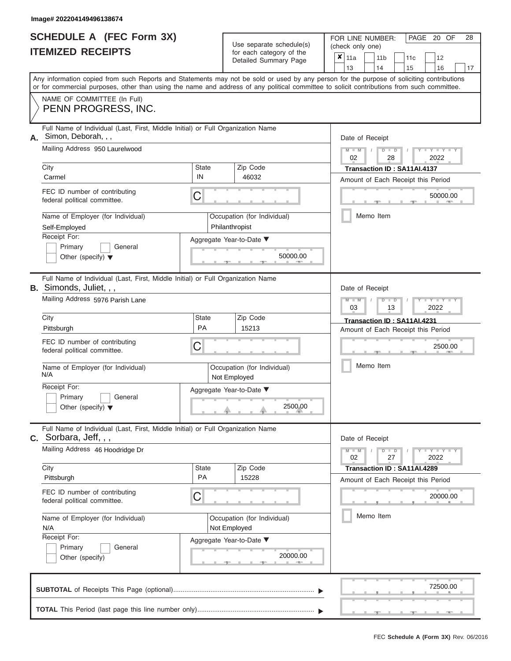ı

|                          | <b>SCHEDULE A (FEC Form 3X)</b> |  |
|--------------------------|---------------------------------|--|
| <b>ITEMIZED RECEIPTS</b> |                                 |  |

Use separate schedule(s)<br>for each category of the

FOR LINE NUMBER:<br>(check only one)

PAGE 20 OF 28

|    | IILMILLU INLVLII IV                                                                                                                                                                                                                                                                     |                           | iul cauli calcyuly ul lile<br>Detailed Summary Page | × | 11a<br>13       |           | 11 <sub>b</sub><br>14 |               | 11c<br>15                                                         | 12<br>16                 | 17 |
|----|-----------------------------------------------------------------------------------------------------------------------------------------------------------------------------------------------------------------------------------------------------------------------------------------|---------------------------|-----------------------------------------------------|---|-----------------|-----------|-----------------------|---------------|-------------------------------------------------------------------|--------------------------|----|
|    | Any information copied from such Reports and Statements may not be sold or used by any person for the purpose of soliciting contributions<br>or for commercial purposes, other than using the name and address of any political committee to solicit contributions from such committee. |                           |                                                     |   |                 |           |                       |               |                                                                   |                          |    |
|    | NAME OF COMMITTEE (In Full)<br>PENN PROGRESS, INC.                                                                                                                                                                                                                                      |                           |                                                     |   |                 |           |                       |               |                                                                   |                          |    |
| А. | Full Name of Individual (Last, First, Middle Initial) or Full Organization Name<br>Simon, Deborah, , ,<br>Mailing Address 950 Laurelwood                                                                                                                                                |                           |                                                     |   | Date of Receipt |           |                       |               |                                                                   |                          |    |
|    | City                                                                                                                                                                                                                                                                                    | <b>State</b>              | Zip Code                                            |   | $M - M$<br>02   |           |                       | $D$ $D$<br>28 |                                                                   | 2022                     |    |
|    | Carmel                                                                                                                                                                                                                                                                                  | IN                        | 46032                                               |   |                 |           |                       |               | Transaction ID: SA11AI.4137<br>Amount of Each Receipt this Period |                          |    |
|    | FEC ID number of contributing<br>federal political committee.                                                                                                                                                                                                                           | C                         |                                                     |   |                 |           |                       |               |                                                                   | 50000.00                 |    |
|    | Name of Employer (for Individual)<br>Self-Employed                                                                                                                                                                                                                                      |                           | Occupation (for Individual)<br>Philanthropist       |   |                 | Memo Item |                       |               |                                                                   |                          |    |
|    | Receipt For:<br>Primary<br>General<br>Other (specify) $\blacktriangledown$                                                                                                                                                                                                              |                           | Aggregate Year-to-Date ▼<br>50000.00                |   |                 |           |                       |               |                                                                   |                          |    |
|    | Full Name of Individual (Last, First, Middle Initial) or Full Organization Name<br><b>B.</b> Simonds, Juliet, , ,                                                                                                                                                                       |                           |                                                     |   | Date of Receipt |           |                       |               |                                                                   |                          |    |
|    | Mailing Address 5976 Parish Lane                                                                                                                                                                                                                                                        |                           |                                                     |   | $M - M$<br>03   |           |                       | $D$ $D$<br>13 |                                                                   | 2022                     |    |
|    | City<br>Pittsburgh                                                                                                                                                                                                                                                                      | <b>State</b><br><b>PA</b> | Zip Code<br>15213                                   |   |                 |           |                       |               | Transaction ID: SA11AI.4231<br>Amount of Each Receipt this Period |                          |    |
|    | FEC ID number of contributing<br>federal political committee.                                                                                                                                                                                                                           | C                         |                                                     |   |                 |           |                       |               |                                                                   | 2500.00                  |    |
|    | Name of Employer (for Individual)<br>N/A                                                                                                                                                                                                                                                |                           | Occupation (for Individual)<br>Not Employed         |   |                 | Memo Item |                       |               |                                                                   |                          |    |
|    | Receipt For:<br>Primary<br>General<br>Other (specify) $\blacktriangledown$                                                                                                                                                                                                              |                           | Aggregate Year-to-Date ▼<br>2500.00                 |   |                 |           |                       |               |                                                                   |                          |    |
| С. | Full Name of Individual (Last, First, Middle Initial) or Full Organization Name<br>Sorbara, Jeff, , ,                                                                                                                                                                                   |                           |                                                     |   | Date of Receipt |           |                       |               |                                                                   |                          |    |
|    | Mailing Address 46 Hoodridge Dr                                                                                                                                                                                                                                                         |                           |                                                     |   | $M - M$<br>02   |           |                       | $D$ $D$<br>27 |                                                                   | $-Y - Y - Y - Y$<br>2022 |    |
|    | City<br>Pittsburgh                                                                                                                                                                                                                                                                      | <b>State</b><br>PA        | Zip Code<br>15228                                   |   |                 |           |                       |               | Transaction ID: SA11AI.4289<br>Amount of Each Receipt this Period |                          |    |
|    | FEC ID number of contributing<br>federal political committee.                                                                                                                                                                                                                           | C                         |                                                     |   |                 |           |                       |               |                                                                   | 20000.00                 |    |
|    | Name of Employer (for Individual)<br>N/A                                                                                                                                                                                                                                                |                           | Occupation (for Individual)<br>Not Employed         |   |                 | Memo Item |                       |               |                                                                   |                          |    |
|    | Receipt For:<br>Primary<br>General<br>Other (specify)                                                                                                                                                                                                                                   |                           | Aggregate Year-to-Date ▼<br>20000.00                |   |                 |           |                       |               |                                                                   |                          |    |
|    |                                                                                                                                                                                                                                                                                         |                           |                                                     |   |                 |           |                       |               |                                                                   | 72500.00                 |    |
|    |                                                                                                                                                                                                                                                                                         |                           |                                                     |   |                 |           |                       |               |                                                                   |                          |    |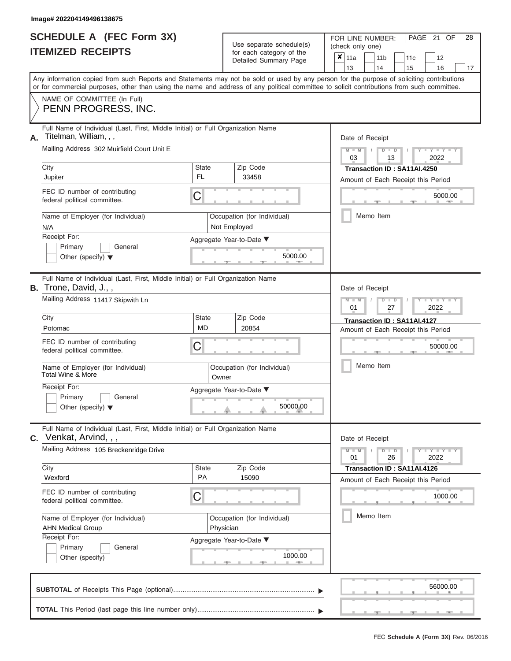|                          | <b>SCHEDULE A (FEC Form 3X)</b> |
|--------------------------|---------------------------------|
| <b>ITEMIZED RECEIPTS</b> |                                 |

| <b>SCHEDULE A (FEC Form 3X)</b><br><b>ITEMIZED RECEIPTS</b>                                                     | Use separate schedule(s)<br>for each category of the                                                                                                                                                                                                                                    | PAGE 21 OF<br>28<br>FOR LINE NUMBER:<br>(check only one)                                    |  |  |  |  |  |  |  |  |  |
|-----------------------------------------------------------------------------------------------------------------|-----------------------------------------------------------------------------------------------------------------------------------------------------------------------------------------------------------------------------------------------------------------------------------------|---------------------------------------------------------------------------------------------|--|--|--|--|--|--|--|--|--|
|                                                                                                                 | Detailed Summary Page                                                                                                                                                                                                                                                                   | $\overline{\mathbf{x}}$   11a<br>11 <sub>b</sub><br>11c<br>12<br>13<br>14<br>15<br>16<br>17 |  |  |  |  |  |  |  |  |  |
|                                                                                                                 | Any information copied from such Reports and Statements may not be sold or used by any person for the purpose of soliciting contributions<br>or for commercial purposes, other than using the name and address of any political committee to solicit contributions from such committee. |                                                                                             |  |  |  |  |  |  |  |  |  |
| NAME OF COMMITTEE (In Full)<br>PENN PROGRESS, INC.                                                              |                                                                                                                                                                                                                                                                                         |                                                                                             |  |  |  |  |  |  |  |  |  |
| Full Name of Individual (Last, First, Middle Initial) or Full Organization Name<br>Titelman, William, , ,<br>Α. |                                                                                                                                                                                                                                                                                         | Date of Receipt                                                                             |  |  |  |  |  |  |  |  |  |
| Mailing Address 302 Muirfield Court Unit E<br>City                                                              | Zip Code<br><b>State</b>                                                                                                                                                                                                                                                                | $M - M$<br>$+Y+Y+Y$<br>$D$ $D$<br>03<br>2022<br>13                                          |  |  |  |  |  |  |  |  |  |
| Jupiter                                                                                                         | FL<br>33458                                                                                                                                                                                                                                                                             | Transaction ID: SA11AI.4250<br>Amount of Each Receipt this Period                           |  |  |  |  |  |  |  |  |  |
| FEC ID number of contributing<br>federal political committee.                                                   | C                                                                                                                                                                                                                                                                                       | 5000.00                                                                                     |  |  |  |  |  |  |  |  |  |
| Name of Employer (for Individual)<br>N/A                                                                        | Occupation (for Individual)<br>Not Employed                                                                                                                                                                                                                                             | Memo Item                                                                                   |  |  |  |  |  |  |  |  |  |
| Receipt For:<br>Primary<br>General<br>Other (specify) $\blacktriangledown$                                      | Aggregate Year-to-Date ▼<br>5000.00                                                                                                                                                                                                                                                     |                                                                                             |  |  |  |  |  |  |  |  |  |
| Full Name of Individual (Last, First, Middle Initial) or Full Organization Name<br>Trone, David, J.,,<br>В.     |                                                                                                                                                                                                                                                                                         | Date of Receipt                                                                             |  |  |  |  |  |  |  |  |  |
| Mailing Address 11417 Skipwith Ln                                                                               |                                                                                                                                                                                                                                                                                         | $M - M$<br>$D$ $\Box$ $D$<br>Y TY<br>01<br>27<br>2022                                       |  |  |  |  |  |  |  |  |  |
| City<br>Potomac                                                                                                 | Zip Code<br><b>State</b><br><b>MD</b><br>20854                                                                                                                                                                                                                                          | Transaction ID: SA11AI.4127                                                                 |  |  |  |  |  |  |  |  |  |
| FEC ID number of contributing<br>federal political committee.                                                   | C                                                                                                                                                                                                                                                                                       | Amount of Each Receipt this Period<br>50000.00                                              |  |  |  |  |  |  |  |  |  |
| Name of Employer (for Individual)<br>Total Wine & More                                                          | Occupation (for Individual)<br>Owner                                                                                                                                                                                                                                                    | Memo Item                                                                                   |  |  |  |  |  |  |  |  |  |
| Receipt For:<br>Primary<br>General<br>Other (specify) $\blacktriangledown$                                      | Aggregate Year-to-Date ▼<br>50000.00                                                                                                                                                                                                                                                    |                                                                                             |  |  |  |  |  |  |  |  |  |
| Full Name of Individual (Last, First, Middle Initial) or Full Organization Name<br>Venkat, Arvind, , ,<br>C.    |                                                                                                                                                                                                                                                                                         | Date of Receipt                                                                             |  |  |  |  |  |  |  |  |  |
| Mailing Address 105 Breckenridge Drive                                                                          |                                                                                                                                                                                                                                                                                         | $M - M$<br>$T$ $T$ $T$ $T$ $T$ $T$ $T$ $T$ $T$<br>$D$ $D$<br>2022<br>01<br>26               |  |  |  |  |  |  |  |  |  |
| City<br>Wexford                                                                                                 | Zip Code<br><b>State</b><br><b>PA</b><br>15090                                                                                                                                                                                                                                          | Transaction ID: SA11AI.4126<br>Amount of Each Receipt this Period                           |  |  |  |  |  |  |  |  |  |
| FEC ID number of contributing<br>federal political committee.                                                   | C                                                                                                                                                                                                                                                                                       | 1000.00                                                                                     |  |  |  |  |  |  |  |  |  |
| Name of Employer (for Individual)<br><b>AHN Medical Group</b>                                                   | Occupation (for Individual)<br>Physician                                                                                                                                                                                                                                                | Memo Item                                                                                   |  |  |  |  |  |  |  |  |  |
| Receipt For:<br>Primary<br>General<br>Other (specify)                                                           | Aggregate Year-to-Date ▼<br>1000.00                                                                                                                                                                                                                                                     |                                                                                             |  |  |  |  |  |  |  |  |  |
|                                                                                                                 |                                                                                                                                                                                                                                                                                         | 56000.00                                                                                    |  |  |  |  |  |  |  |  |  |
|                                                                                                                 |                                                                                                                                                                                                                                                                                         |                                                                                             |  |  |  |  |  |  |  |  |  |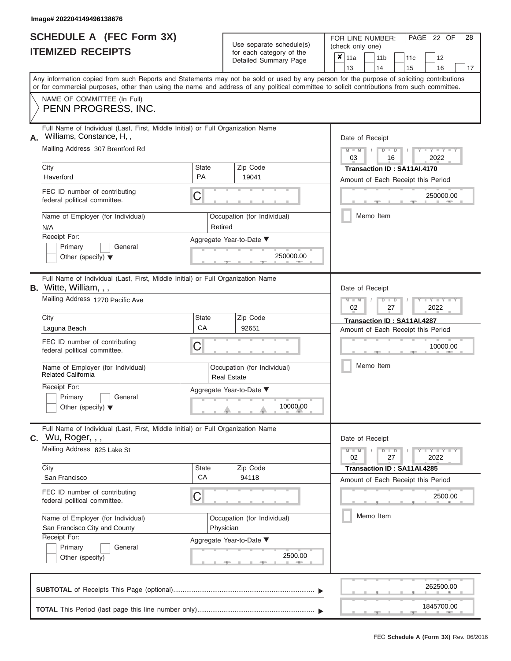|                          | <b>SCHEDULE A (FEC Form 3X)</b> |
|--------------------------|---------------------------------|
| <b>ITEMIZED RECEIPTS</b> |                                 |

Use separate schedule(s)

FOR LINE NUMBER:<br>(check only one)

PAGE 22 OF 28

|    | IIEMIZED REGEIPIJ                                                                                                                                                                                                                                                                       |                    | for each category of the<br>Detailed Summary Page | × | 11a<br>13                  |           | 11 <sub>b</sub><br>14 |                      | 15 | 11c                                                               |      | 12<br>16                  | 17 |
|----|-----------------------------------------------------------------------------------------------------------------------------------------------------------------------------------------------------------------------------------------------------------------------------------------|--------------------|---------------------------------------------------|---|----------------------------|-----------|-----------------------|----------------------|----|-------------------------------------------------------------------|------|---------------------------|----|
|    | Any information copied from such Reports and Statements may not be sold or used by any person for the purpose of soliciting contributions<br>or for commercial purposes, other than using the name and address of any political committee to solicit contributions from such committee. |                    |                                                   |   |                            |           |                       |                      |    |                                                                   |      |                           |    |
|    | NAME OF COMMITTEE (In Full)<br>PENN PROGRESS, INC.                                                                                                                                                                                                                                      |                    |                                                   |   |                            |           |                       |                      |    |                                                                   |      |                           |    |
| А. | Full Name of Individual (Last, First, Middle Initial) or Full Organization Name<br>Williams, Constance, H.,<br>Mailing Address 307 Brentford Rd                                                                                                                                         |                    |                                                   |   | Date of Receipt<br>$M - M$ |           |                       | $D$ $D$              |    |                                                                   |      | $T-T$ $T$ $T$ $T$ $T$ $T$ |    |
|    | City                                                                                                                                                                                                                                                                                    | State              | Zip Code                                          |   | 03                         |           |                       | 16                   |    |                                                                   | 2022 |                           |    |
|    | Haverford                                                                                                                                                                                                                                                                               | <b>PA</b>          | 19041                                             |   |                            |           |                       |                      |    | Transaction ID: SA11AI.4170<br>Amount of Each Receipt this Period |      |                           |    |
|    | FEC ID number of contributing<br>federal political committee.                                                                                                                                                                                                                           | C                  |                                                   |   |                            |           |                       |                      |    |                                                                   |      | 250000.00                 |    |
|    | Name of Employer (for Individual)<br>N/A                                                                                                                                                                                                                                                | Retired            | Occupation (for Individual)                       |   |                            | Memo Item |                       |                      |    |                                                                   |      |                           |    |
|    | Receipt For:<br>Primary<br>General<br>Other (specify) $\blacktriangledown$                                                                                                                                                                                                              |                    | Aggregate Year-to-Date ▼<br>250000.00             |   |                            |           |                       |                      |    |                                                                   |      |                           |    |
|    | Full Name of Individual (Last, First, Middle Initial) or Full Organization Name<br><b>B.</b> Witte, William, , ,                                                                                                                                                                        |                    |                                                   |   | Date of Receipt            |           |                       |                      |    |                                                                   |      |                           |    |
|    | Mailing Address 1270 Pacific Ave                                                                                                                                                                                                                                                        |                    |                                                   |   | $M - M$<br>02              |           |                       | $D$ $\Box$ $D$<br>27 |    |                                                                   | 2022 | $T - Y = T - T$           |    |
|    | City<br>Laguna Beach                                                                                                                                                                                                                                                                    | State<br>CA        | Zip Code<br>92651                                 |   |                            |           |                       |                      |    | Transaction ID: SA11AI.4287<br>Amount of Each Receipt this Period |      |                           |    |
|    | FEC ID number of contributing<br>federal political committee.                                                                                                                                                                                                                           | С                  |                                                   |   |                            |           |                       |                      |    |                                                                   |      | 10000.00                  |    |
|    | Name of Employer (for Individual)<br><b>Related California</b>                                                                                                                                                                                                                          |                    | Occupation (for Individual)<br><b>Real Estate</b> |   |                            | Memo Item |                       |                      |    |                                                                   |      |                           |    |
|    | Receipt For:<br>Primary<br>General<br>Other (specify) $\blacktriangledown$                                                                                                                                                                                                              |                    | Aggregate Year-to-Date ▼<br>10000.00              |   |                            |           |                       |                      |    |                                                                   |      |                           |    |
|    | Full Name of Individual (Last, First, Middle Initial) or Full Organization Name<br><b>c.</b> Wu, Roger, , ,                                                                                                                                                                             |                    |                                                   |   | Date of Receipt            |           |                       |                      |    |                                                                   |      |                           |    |
|    | Mailing Address 825 Lake St                                                                                                                                                                                                                                                             |                    |                                                   |   | $M - M$<br>02              |           |                       | $D$ $\Box$ $D$<br>27 |    |                                                                   | 2022 | $Y = Y = Y + Y$           |    |
|    | City<br>San Francisco                                                                                                                                                                                                                                                                   | <b>State</b><br>CA | Zip Code<br>94118                                 |   |                            |           |                       |                      |    | Transaction ID: SA11AI.4285                                       |      |                           |    |
|    | FEC ID number of contributing<br>federal political committee.                                                                                                                                                                                                                           | С                  |                                                   |   |                            |           |                       |                      |    | Amount of Each Receipt this Period                                |      | 2500.00                   |    |
|    | Name of Employer (for Individual)<br>San Francisco City and County                                                                                                                                                                                                                      | Physician          | Occupation (for Individual)                       |   |                            | Memo Item |                       |                      |    |                                                                   |      |                           |    |
|    | Receipt For:<br>Primary<br>General<br>Other (specify)                                                                                                                                                                                                                                   |                    | Aggregate Year-to-Date ▼<br>2500.00<br>$1 - 405$  |   |                            |           |                       |                      |    |                                                                   |      |                           |    |
|    |                                                                                                                                                                                                                                                                                         |                    |                                                   |   |                            |           |                       |                      |    |                                                                   |      | 262500.00                 |    |
|    |                                                                                                                                                                                                                                                                                         |                    |                                                   |   |                            |           |                       |                      |    |                                                                   |      | 1845700.00                |    |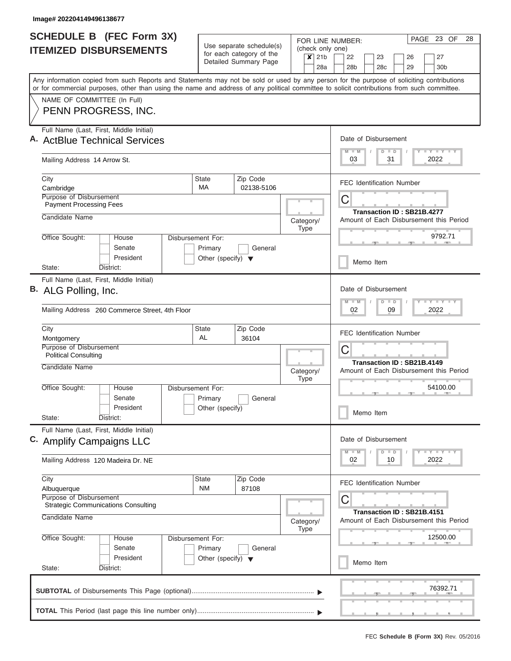| <b>SCHEDULE B</b> (FEC Form 3X)                                                                                                                                                                                                                                                         |                                                                      |                                                      |                          |                                         | PAGE 23 OF<br>28<br>FOR LINE NUMBER:                                                                                        |  |  |  |  |  |  |  |  |  |  |  |  |
|-----------------------------------------------------------------------------------------------------------------------------------------------------------------------------------------------------------------------------------------------------------------------------------------|----------------------------------------------------------------------|------------------------------------------------------|--------------------------|-----------------------------------------|-----------------------------------------------------------------------------------------------------------------------------|--|--|--|--|--|--|--|--|--|--|--|--|
| <b>ITEMIZED DISBURSEMENTS</b>                                                                                                                                                                                                                                                           |                                                                      | Use separate schedule(s)<br>for each category of the | $x$ 21b                  |                                         | (check only one)<br>22<br>23<br>26<br>27                                                                                    |  |  |  |  |  |  |  |  |  |  |  |  |
|                                                                                                                                                                                                                                                                                         |                                                                      | Detailed Summary Page                                |                          | 28a                                     | 28 <sub>b</sub><br>28c<br>29<br>30 <sub>b</sub>                                                                             |  |  |  |  |  |  |  |  |  |  |  |  |
| Any information copied from such Reports and Statements may not be sold or used by any person for the purpose of soliciting contributions<br>or for commercial purposes, other than using the name and address of any political committee to solicit contributions from such committee. |                                                                      |                                                      |                          |                                         |                                                                                                                             |  |  |  |  |  |  |  |  |  |  |  |  |
| NAME OF COMMITTEE (In Full)<br>PENN PROGRESS, INC.                                                                                                                                                                                                                                      |                                                                      |                                                      |                          |                                         |                                                                                                                             |  |  |  |  |  |  |  |  |  |  |  |  |
| Full Name (Last, First, Middle Initial)<br>A. ActBlue Technical Services                                                                                                                                                                                                                |                                                                      |                                                      |                          | Date of Disbursement<br><b>LY LY LY</b> |                                                                                                                             |  |  |  |  |  |  |  |  |  |  |  |  |
| Mailing Address 14 Arrow St.                                                                                                                                                                                                                                                            |                                                                      |                                                      |                          |                                         | $M$ $M$<br>$D$ $D$<br>2022<br>03<br>31                                                                                      |  |  |  |  |  |  |  |  |  |  |  |  |
| City<br>Cambridge                                                                                                                                                                                                                                                                       | State<br>MA                                                          | Zip Code<br>02138-5106                               |                          |                                         | <b>FEC Identification Number</b>                                                                                            |  |  |  |  |  |  |  |  |  |  |  |  |
| Purpose of Disbursement<br><b>Payment Processing Fees</b>                                                                                                                                                                                                                               |                                                                      |                                                      |                          |                                         | C                                                                                                                           |  |  |  |  |  |  |  |  |  |  |  |  |
| Candidate Name                                                                                                                                                                                                                                                                          |                                                                      |                                                      | Category/<br><b>Type</b> |                                         | Transaction ID: SB21B.4277<br>Amount of Each Disbursement this Period                                                       |  |  |  |  |  |  |  |  |  |  |  |  |
| Office Sought:<br>House<br>Senate<br>President                                                                                                                                                                                                                                          | Disbursement For:<br>Primary<br>Other (specify) $\blacktriangledown$ | General                                              |                          |                                         | 9792.71                                                                                                                     |  |  |  |  |  |  |  |  |  |  |  |  |
| State:<br>District:                                                                                                                                                                                                                                                                     |                                                                      |                                                      |                          |                                         | Memo Item                                                                                                                   |  |  |  |  |  |  |  |  |  |  |  |  |
| Full Name (Last, First, Middle Initial)<br>B. ALG Polling, Inc.                                                                                                                                                                                                                         |                                                                      |                                                      |                          |                                         | Date of Disbursement<br>$-Y$ $Y$ $-Y$<br>$M - M$<br>$D$ $D$                                                                 |  |  |  |  |  |  |  |  |  |  |  |  |
| Mailing Address 260 Commerce Street, 4th Floor                                                                                                                                                                                                                                          |                                                                      | 2022<br>02<br>09                                     |                          |                                         |                                                                                                                             |  |  |  |  |  |  |  |  |  |  |  |  |
| City<br>Montgomery<br>Purpose of Disbursement                                                                                                                                                                                                                                           | <b>State</b><br>AL                                                   | Zip Code<br>36104                                    |                          |                                         | <b>FEC Identification Number</b>                                                                                            |  |  |  |  |  |  |  |  |  |  |  |  |
| <b>Political Consulting</b><br>Candidate Name                                                                                                                                                                                                                                           |                                                                      |                                                      | Category/                |                                         | C<br>Transaction ID: SB21B.4149<br>Amount of Each Disbursement this Period                                                  |  |  |  |  |  |  |  |  |  |  |  |  |
| Office Sought:<br>House<br>Senate                                                                                                                                                                                                                                                       | Disbursement For:<br>Primary                                         | General                                              | <b>Type</b>              |                                         | 54100.00                                                                                                                    |  |  |  |  |  |  |  |  |  |  |  |  |
| President<br>State:<br>District:                                                                                                                                                                                                                                                        | Other (specify)                                                      |                                                      |                          |                                         | Memo Item                                                                                                                   |  |  |  |  |  |  |  |  |  |  |  |  |
| Full Name (Last, First, Middle Initial)<br>C. Amplify Campaigns LLC                                                                                                                                                                                                                     |                                                                      |                                                      |                          |                                         | Date of Disbursement                                                                                                        |  |  |  |  |  |  |  |  |  |  |  |  |
| Mailing Address 120 Madeira Dr. NE                                                                                                                                                                                                                                                      |                                                                      |                                                      |                          |                                         | $\mathbf{I}$ $\mathbf{Y}$ $\mathbf{I}$ $\mathbf{Y}$ $\mathbf{I}$ $\mathbf{Y}$<br>$M - M$<br>$\Box$<br>D<br>02<br>10<br>2022 |  |  |  |  |  |  |  |  |  |  |  |  |
| City<br>Albuquerque                                                                                                                                                                                                                                                                     | State<br><b>NM</b>                                                   | Zip Code<br>87108                                    |                          |                                         | <b>FEC Identification Number</b>                                                                                            |  |  |  |  |  |  |  |  |  |  |  |  |
| Purpose of Disbursement<br><b>Strategic Communications Consulting</b><br>Candidate Name                                                                                                                                                                                                 |                                                                      |                                                      |                          |                                         | С<br>Transaction ID: SB21B.4151<br>Amount of Each Disbursement this Period                                                  |  |  |  |  |  |  |  |  |  |  |  |  |
| Office Sought:<br>House                                                                                                                                                                                                                                                                 | Disbursement For:                                                    |                                                      | Category/<br><b>Type</b> |                                         | 12500.00                                                                                                                    |  |  |  |  |  |  |  |  |  |  |  |  |
| Senate<br>President                                                                                                                                                                                                                                                                     | Primary<br>Other (specify) $\blacktriangledown$                      | General                                              |                          |                                         | Memo Item                                                                                                                   |  |  |  |  |  |  |  |  |  |  |  |  |
| State:<br>District:                                                                                                                                                                                                                                                                     |                                                                      |                                                      |                          |                                         |                                                                                                                             |  |  |  |  |  |  |  |  |  |  |  |  |
|                                                                                                                                                                                                                                                                                         |                                                                      |                                                      |                          |                                         | 76392.71                                                                                                                    |  |  |  |  |  |  |  |  |  |  |  |  |
|                                                                                                                                                                                                                                                                                         |                                                                      |                                                      |                          |                                         |                                                                                                                             |  |  |  |  |  |  |  |  |  |  |  |  |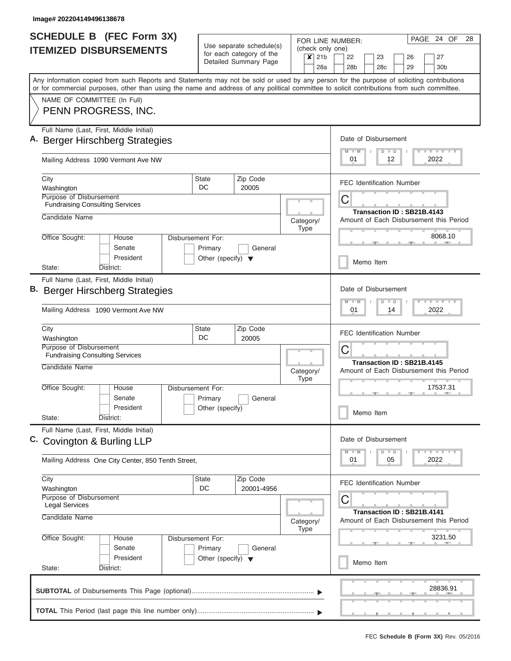| <b>SCHEDULE B (FEC Form 3X)</b>                                                                                                                                                                                                                                                         |                                                 |                                                      |  |             |     | FOR LINE NUMBER:                          |           |                                                                       |                |                            |  | PAGE 24 OF                                                                    |  | 28 |  |  |
|-----------------------------------------------------------------------------------------------------------------------------------------------------------------------------------------------------------------------------------------------------------------------------------------|-------------------------------------------------|------------------------------------------------------|--|-------------|-----|-------------------------------------------|-----------|-----------------------------------------------------------------------|----------------|----------------------------|--|-------------------------------------------------------------------------------|--|----|--|--|
| <b>ITEMIZED DISBURSEMENTS</b>                                                                                                                                                                                                                                                           |                                                 | Use separate schedule(s)<br>for each category of the |  | $x$ 21b     |     | (check only one)<br>22                    |           | 23                                                                    |                | 26                         |  | 27                                                                            |  |    |  |  |
|                                                                                                                                                                                                                                                                                         |                                                 | Detailed Summary Page                                |  |             | 28a | 28 <sub>b</sub>                           |           | 28 <sub>c</sub>                                                       |                | 29                         |  | 30 <sub>b</sub>                                                               |  |    |  |  |
| Any information copied from such Reports and Statements may not be sold or used by any person for the purpose of soliciting contributions<br>or for commercial purposes, other than using the name and address of any political committee to solicit contributions from such committee. |                                                 |                                                      |  |             |     |                                           |           |                                                                       |                |                            |  |                                                                               |  |    |  |  |
| NAME OF COMMITTEE (In Full)<br>PENN PROGRESS, INC.                                                                                                                                                                                                                                      |                                                 |                                                      |  |             |     |                                           |           |                                                                       |                |                            |  |                                                                               |  |    |  |  |
|                                                                                                                                                                                                                                                                                         |                                                 |                                                      |  |             |     |                                           |           |                                                                       |                |                            |  |                                                                               |  |    |  |  |
| Full Name (Last, First, Middle Initial)<br>A. Berger Hirschberg Strategies                                                                                                                                                                                                              |                                                 |                                                      |  |             |     | Date of Disbursement                      |           |                                                                       |                |                            |  |                                                                               |  |    |  |  |
| Mailing Address 1090 Vermont Ave NW                                                                                                                                                                                                                                                     |                                                 |                                                      |  |             |     | Y LY LY LY<br>$D$ $D$<br>2022<br>01<br>12 |           |                                                                       |                |                            |  |                                                                               |  |    |  |  |
| City                                                                                                                                                                                                                                                                                    | <b>State</b>                                    | Zip Code                                             |  |             |     |                                           |           |                                                                       |                |                            |  |                                                                               |  |    |  |  |
| Washington                                                                                                                                                                                                                                                                              | DC                                              | 20005                                                |  |             |     | <b>FEC Identification Number</b>          |           |                                                                       |                |                            |  |                                                                               |  |    |  |  |
| Purpose of Disbursement<br><b>Fundraising Consulting Services</b>                                                                                                                                                                                                                       |                                                 |                                                      |  |             |     | C                                         |           |                                                                       |                |                            |  |                                                                               |  |    |  |  |
| Candidate Name                                                                                                                                                                                                                                                                          |                                                 |                                                      |  | Category/   |     | Amount of Each Disbursement this Period   |           |                                                                       |                | Transaction ID: SB21B.4143 |  |                                                                               |  |    |  |  |
| Office Sought:<br>House                                                                                                                                                                                                                                                                 | Disbursement For:                               |                                                      |  | Type        |     |                                           |           |                                                                       |                |                            |  | 8068.10                                                                       |  |    |  |  |
| Senate                                                                                                                                                                                                                                                                                  | Primary                                         | General                                              |  |             |     |                                           |           |                                                                       |                |                            |  |                                                                               |  |    |  |  |
| President<br>State:<br>District:                                                                                                                                                                                                                                                        | Other (specify) $\blacktriangledown$            |                                                      |  |             |     |                                           | Memo Item |                                                                       |                |                            |  |                                                                               |  |    |  |  |
| Full Name (Last, First, Middle Initial)                                                                                                                                                                                                                                                 |                                                 |                                                      |  |             |     |                                           |           |                                                                       |                |                            |  |                                                                               |  |    |  |  |
| <b>B.</b> Berger Hirschberg Strategies                                                                                                                                                                                                                                                  |                                                 |                                                      |  |             |     | Date of Disbursement<br>W                 |           | D                                                                     | $\blacksquare$ |                            |  | $-Y$ $-Y$                                                                     |  |    |  |  |
| Mailing Address 1090 Vermont Ave NW                                                                                                                                                                                                                                                     |                                                 | 2022<br>01<br>14                                     |  |             |     |                                           |           |                                                                       |                |                            |  |                                                                               |  |    |  |  |
| City<br>Washington                                                                                                                                                                                                                                                                      | <b>State</b><br>DC                              | Zip Code<br>20005                                    |  |             |     | <b>FEC Identification Number</b>          |           |                                                                       |                |                            |  |                                                                               |  |    |  |  |
| Purpose of Disbursement                                                                                                                                                                                                                                                                 |                                                 |                                                      |  |             |     | C                                         |           |                                                                       |                |                            |  |                                                                               |  |    |  |  |
| <b>Fundraising Consulting Services</b><br>Candidate Name                                                                                                                                                                                                                                | Category/                                       |                                                      |  |             |     |                                           |           | Transaction ID: SB21B.4145<br>Amount of Each Disbursement this Period |                |                            |  |                                                                               |  |    |  |  |
| Office Sought:<br>House                                                                                                                                                                                                                                                                 | Disbursement For:                               |                                                      |  | <b>Type</b> |     |                                           |           |                                                                       |                |                            |  | 17537.31                                                                      |  |    |  |  |
| Senate                                                                                                                                                                                                                                                                                  | Primary                                         | General                                              |  |             |     |                                           |           |                                                                       |                |                            |  |                                                                               |  |    |  |  |
| President<br>State:<br>District:                                                                                                                                                                                                                                                        | Other (specify)                                 |                                                      |  |             |     |                                           | Memo Item |                                                                       |                |                            |  |                                                                               |  |    |  |  |
| Full Name (Last, First, Middle Initial)                                                                                                                                                                                                                                                 |                                                 |                                                      |  |             |     | Date of Disbursement                      |           |                                                                       |                |                            |  |                                                                               |  |    |  |  |
| Covington & Burling LLP                                                                                                                                                                                                                                                                 |                                                 |                                                      |  |             |     | $-M$                                      |           | D                                                                     | $\Box$         |                            |  | $\mathbf{I}$ $\mathbf{Y}$ $\mathbf{I}$ $\mathbf{Y}$ $\mathbf{I}$ $\mathbf{Y}$ |  |    |  |  |
| Mailing Address One City Center, 850 Tenth Street,                                                                                                                                                                                                                                      |                                                 |                                                      |  |             |     | 01                                        |           |                                                                       | 05             |                            |  | 2022                                                                          |  |    |  |  |
| City                                                                                                                                                                                                                                                                                    | State<br>DC                                     | Zip Code<br>20001-4956                               |  |             |     | FEC Identification Number                 |           |                                                                       |                |                            |  |                                                                               |  |    |  |  |
| Washington<br>Purpose of Disbursement                                                                                                                                                                                                                                                   |                                                 |                                                      |  |             |     | C                                         |           |                                                                       |                |                            |  |                                                                               |  |    |  |  |
| <b>Legal Services</b><br>Candidate Name                                                                                                                                                                                                                                                 |                                                 |                                                      |  | Category/   |     | Amount of Each Disbursement this Period   |           |                                                                       |                | Transaction ID: SB21B.4141 |  |                                                                               |  |    |  |  |
| Office Sought:<br>House                                                                                                                                                                                                                                                                 | Disbursement For:                               |                                                      |  | Type        |     |                                           |           |                                                                       |                |                            |  | 3231.50                                                                       |  |    |  |  |
| Senate<br>President                                                                                                                                                                                                                                                                     | Primary<br>Other (specify) $\blacktriangledown$ | General                                              |  |             |     |                                           |           |                                                                       |                |                            |  |                                                                               |  |    |  |  |
| State:<br>District:                                                                                                                                                                                                                                                                     |                                                 |                                                      |  |             |     |                                           | Memo Item |                                                                       |                |                            |  |                                                                               |  |    |  |  |
|                                                                                                                                                                                                                                                                                         |                                                 |                                                      |  |             |     |                                           |           |                                                                       |                |                            |  | 28836.91                                                                      |  |    |  |  |
|                                                                                                                                                                                                                                                                                         |                                                 |                                                      |  |             |     |                                           |           |                                                                       |                |                            |  |                                                                               |  |    |  |  |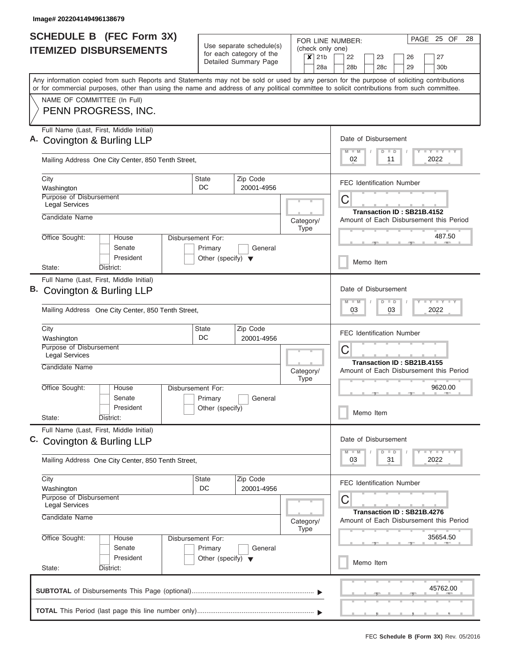| <b>SCHEDULE B</b> (FEC Form 3X)                                                                                                                                                                                                                                                         |                                      |                                                      |                   |         |                            | FOR LINE NUMBER:                        |  |           |                            |          | PAGE 25 OF                                                                            |          | 28 |  |  |  |  |  |
|-----------------------------------------------------------------------------------------------------------------------------------------------------------------------------------------------------------------------------------------------------------------------------------------|--------------------------------------|------------------------------------------------------|-------------------|---------|----------------------------|-----------------------------------------|--|-----------|----------------------------|----------|---------------------------------------------------------------------------------------|----------|----|--|--|--|--|--|
| <b>ITEMIZED DISBURSEMENTS</b>                                                                                                                                                                                                                                                           |                                      | Use separate schedule(s)<br>for each category of the |                   |         | (check only one)           |                                         |  |           |                            |          |                                                                                       |          |    |  |  |  |  |  |
|                                                                                                                                                                                                                                                                                         |                                      | Detailed Summary Page                                |                   | $x$ 21b | 28a                        | 22<br>28b                               |  | 23<br>28c |                            | 26<br>29 | 27<br>30b                                                                             |          |    |  |  |  |  |  |
| Any information copied from such Reports and Statements may not be sold or used by any person for the purpose of soliciting contributions<br>or for commercial purposes, other than using the name and address of any political committee to solicit contributions from such committee. |                                      |                                                      |                   |         |                            |                                         |  |           |                            |          |                                                                                       |          |    |  |  |  |  |  |
| NAME OF COMMITTEE (In Full)                                                                                                                                                                                                                                                             |                                      |                                                      |                   |         |                            |                                         |  |           |                            |          |                                                                                       |          |    |  |  |  |  |  |
| PENN PROGRESS, INC.                                                                                                                                                                                                                                                                     |                                      |                                                      |                   |         |                            |                                         |  |           |                            |          |                                                                                       |          |    |  |  |  |  |  |
| Full Name (Last, First, Middle Initial)                                                                                                                                                                                                                                                 |                                      |                                                      |                   |         |                            |                                         |  |           |                            |          |                                                                                       |          |    |  |  |  |  |  |
| A. Covington & Burling LLP                                                                                                                                                                                                                                                              |                                      |                                                      |                   |         |                            | Date of Disbursement<br>$M$ $M$         |  | $D$ $D$   |                            |          | Y LY LY LY                                                                            |          |    |  |  |  |  |  |
| Mailing Address One City Center, 850 Tenth Street,                                                                                                                                                                                                                                      |                                      |                                                      |                   |         |                            | 02                                      |  | 11        |                            |          | 2022                                                                                  |          |    |  |  |  |  |  |
| City                                                                                                                                                                                                                                                                                    | State<br>DC                          | Zip Code                                             |                   |         |                            | <b>FEC Identification Number</b>        |  |           |                            |          |                                                                                       |          |    |  |  |  |  |  |
| Washington<br>Purpose of Disbursement                                                                                                                                                                                                                                                   |                                      | 20001-4956                                           |                   |         |                            | C                                       |  |           |                            |          |                                                                                       |          |    |  |  |  |  |  |
| <b>Legal Services</b>                                                                                                                                                                                                                                                                   |                                      |                                                      |                   |         | Transaction ID: SB21B.4152 |                                         |  |           |                            |          |                                                                                       |          |    |  |  |  |  |  |
| Candidate Name                                                                                                                                                                                                                                                                          |                                      |                                                      | Category/<br>Type |         |                            | Amount of Each Disbursement this Period |  |           |                            |          |                                                                                       |          |    |  |  |  |  |  |
| Office Sought:<br>House                                                                                                                                                                                                                                                                 | Disbursement For:                    |                                                      |                   |         |                            |                                         |  |           |                            |          |                                                                                       | 487.50   |    |  |  |  |  |  |
| Senate                                                                                                                                                                                                                                                                                  | Primary                              | General                                              |                   |         |                            |                                         |  |           |                            |          |                                                                                       |          |    |  |  |  |  |  |
| President<br>State:<br>District:                                                                                                                                                                                                                                                        | Other (specify) $\blacktriangledown$ |                                                      |                   |         |                            |                                         |  | Memo Item |                            |          |                                                                                       |          |    |  |  |  |  |  |
| Full Name (Last, First, Middle Initial)                                                                                                                                                                                                                                                 |                                      |                                                      |                   |         |                            |                                         |  |           |                            |          |                                                                                       |          |    |  |  |  |  |  |
| B. Covington & Burling LLP                                                                                                                                                                                                                                                              |                                      |                                                      |                   |         |                            | Date of Disbursement                    |  |           |                            |          |                                                                                       |          |    |  |  |  |  |  |
|                                                                                                                                                                                                                                                                                         |                                      |                                                      |                   |         |                            | $M - M$<br>03                           |  | $D$ $D$   | 03                         |          | $\mathbf{I} = \mathbf{Y} - \mathbf{I} - \mathbf{Y} - \mathbf{I} - \mathbf{Y}$<br>2022 |          |    |  |  |  |  |  |
| Mailing Address One City Center, 850 Tenth Street,                                                                                                                                                                                                                                      |                                      |                                                      |                   |         |                            |                                         |  |           |                            |          |                                                                                       |          |    |  |  |  |  |  |
| City                                                                                                                                                                                                                                                                                    | State                                | Zip Code                                             |                   |         |                            | <b>FEC Identification Number</b>        |  |           |                            |          |                                                                                       |          |    |  |  |  |  |  |
| Washington<br>Purpose of Disbursement                                                                                                                                                                                                                                                   | DC                                   | 20001-4956                                           |                   |         |                            | C                                       |  |           |                            |          |                                                                                       |          |    |  |  |  |  |  |
| <b>Legal Services</b>                                                                                                                                                                                                                                                                   |                                      |                                                      |                   |         |                            |                                         |  |           | Transaction ID: SB21B.4155 |          |                                                                                       |          |    |  |  |  |  |  |
| Candidate Name                                                                                                                                                                                                                                                                          |                                      |                                                      | Category/         |         |                            | Amount of Each Disbursement this Period |  |           |                            |          |                                                                                       |          |    |  |  |  |  |  |
| Office Sought:<br>House                                                                                                                                                                                                                                                                 | Disbursement For:                    |                                                      | <b>Type</b>       |         |                            |                                         |  |           |                            |          |                                                                                       | 9620.00  |    |  |  |  |  |  |
| Senate                                                                                                                                                                                                                                                                                  | Primary                              | General                                              |                   |         |                            |                                         |  |           |                            |          |                                                                                       |          |    |  |  |  |  |  |
| President<br>State:<br>District:                                                                                                                                                                                                                                                        | Other (specify)                      |                                                      |                   |         |                            |                                         |  | Memo Item |                            |          |                                                                                       |          |    |  |  |  |  |  |
| Full Name (Last, First, Middle Initial)                                                                                                                                                                                                                                                 |                                      |                                                      |                   |         |                            |                                         |  |           |                            |          |                                                                                       |          |    |  |  |  |  |  |
| C. Covington & Burling LLP                                                                                                                                                                                                                                                              |                                      |                                                      |                   |         |                            | Date of Disbursement                    |  |           |                            |          |                                                                                       |          |    |  |  |  |  |  |
|                                                                                                                                                                                                                                                                                         |                                      |                                                      |                   |         |                            | $M - M$                                 |  | $D$ $D$   |                            |          | $\mathbf{I}$ $\mathbf{Y}$ $\mathbf{I}$ $\mathbf{Y}$ $\mathbf{I}$ $\mathbf{Y}$         |          |    |  |  |  |  |  |
| Mailing Address One City Center, 850 Tenth Street,                                                                                                                                                                                                                                      |                                      |                                                      |                   |         |                            | 03                                      |  | 31        |                            |          | 2022                                                                                  |          |    |  |  |  |  |  |
| City                                                                                                                                                                                                                                                                                    | State                                | Zip Code                                             |                   |         |                            | <b>FEC Identification Number</b>        |  |           |                            |          |                                                                                       |          |    |  |  |  |  |  |
| Washington<br>Purpose of Disbursement                                                                                                                                                                                                                                                   | DC                                   | 20001-4956                                           |                   |         |                            | C                                       |  |           |                            |          |                                                                                       |          |    |  |  |  |  |  |
| <b>Legal Services</b>                                                                                                                                                                                                                                                                   |                                      |                                                      |                   |         |                            |                                         |  |           | Transaction ID: SB21B.4276 |          |                                                                                       |          |    |  |  |  |  |  |
| Candidate Name                                                                                                                                                                                                                                                                          |                                      |                                                      | Category/         |         |                            | Amount of Each Disbursement this Period |  |           |                            |          |                                                                                       |          |    |  |  |  |  |  |
| Office Sought:<br>House                                                                                                                                                                                                                                                                 | Disbursement For:                    |                                                      | <b>Type</b>       |         |                            |                                         |  |           |                            |          | 35654.50                                                                              |          |    |  |  |  |  |  |
| Senate                                                                                                                                                                                                                                                                                  | Primary                              | General                                              |                   |         |                            |                                         |  |           |                            |          |                                                                                       |          |    |  |  |  |  |  |
| President<br>State:<br>District:                                                                                                                                                                                                                                                        | Other (specify) $\blacktriangledown$ |                                                      |                   |         |                            |                                         |  | Memo Item |                            |          |                                                                                       |          |    |  |  |  |  |  |
|                                                                                                                                                                                                                                                                                         |                                      |                                                      |                   |         |                            |                                         |  |           |                            |          |                                                                                       |          |    |  |  |  |  |  |
|                                                                                                                                                                                                                                                                                         |                                      |                                                      |                   |         |                            |                                         |  |           |                            |          |                                                                                       | 45762.00 |    |  |  |  |  |  |
|                                                                                                                                                                                                                                                                                         |                                      |                                                      |                   |         |                            |                                         |  |           |                            |          |                                                                                       |          |    |  |  |  |  |  |
|                                                                                                                                                                                                                                                                                         |                                      |                                                      |                   |         |                            |                                         |  |           | ______                     |          |                                                                                       |          |    |  |  |  |  |  |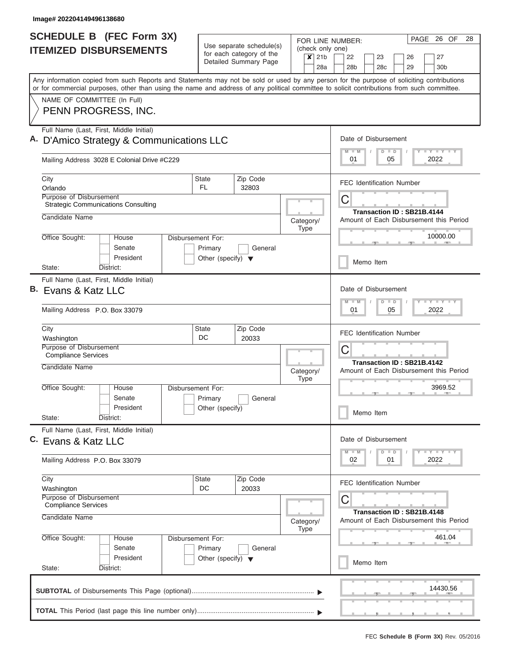| <b>SCHEDULE B (FEC Form 3X)</b>                                                                                                                                                                                                                                                         |                                                                      | Use separate schedule(s)                          |                          |                                            | PAGE 26 OF<br>28<br>FOR LINE NUMBER:                                                 |
|-----------------------------------------------------------------------------------------------------------------------------------------------------------------------------------------------------------------------------------------------------------------------------------------|----------------------------------------------------------------------|---------------------------------------------------|--------------------------|--------------------------------------------|--------------------------------------------------------------------------------------|
| <b>ITEMIZED DISBURSEMENTS</b>                                                                                                                                                                                                                                                           |                                                                      | for each category of the<br>Detailed Summary Page | $\boldsymbol{x}$         | (check only one)<br>21 <sub>b</sub><br>28a | 22<br>27<br>23<br>26<br>28 <sub>b</sub><br>28 <sub>c</sub><br>29<br>30 <sub>b</sub>  |
| Any information copied from such Reports and Statements may not be sold or used by any person for the purpose of soliciting contributions<br>or for commercial purposes, other than using the name and address of any political committee to solicit contributions from such committee. |                                                                      |                                                   |                          |                                            |                                                                                      |
| NAME OF COMMITTEE (In Full)<br>PENN PROGRESS, INC.                                                                                                                                                                                                                                      |                                                                      |                                                   |                          |                                            |                                                                                      |
| Full Name (Last, First, Middle Initial)<br>A. D'Amico Strategy & Communications LLC                                                                                                                                                                                                     |                                                                      |                                                   |                          |                                            | Date of Disbursement<br>Y I Y I Y I Y<br>$M$ $M$<br>$D$ $D$                          |
| Mailing Address 3028 E Colonial Drive #C229                                                                                                                                                                                                                                             |                                                                      |                                                   |                          |                                            | 01<br>05<br>2022                                                                     |
| City<br>Orlando                                                                                                                                                                                                                                                                         | <b>State</b><br>FL.                                                  | Zip Code<br>32803                                 |                          |                                            | <b>FEC Identification Number</b>                                                     |
| <b>Purpose of Disbursement</b><br><b>Strategic Communications Consulting</b><br>Candidate Name                                                                                                                                                                                          |                                                                      |                                                   | Category/                |                                            | С<br>Transaction ID: SB21B.4144<br>Amount of Each Disbursement this Period           |
| Office Sought:<br>House<br>Senate                                                                                                                                                                                                                                                       | Disbursement For:<br>Primary                                         | General                                           | <b>Type</b>              |                                            | 10000.00                                                                             |
| President<br>District:<br>State:                                                                                                                                                                                                                                                        | Other (specify) $\blacktriangledown$                                 |                                                   |                          |                                            | Memo Item                                                                            |
| Full Name (Last, First, Middle Initial)<br>B. Evans & Katz LLC<br>Mailing Address P.O. Box 33079                                                                                                                                                                                        |                                                                      |                                                   |                          |                                            | Date of Disbursement<br><b>TEY LEY LEY</b><br>$M - M$<br>$D$ $D$<br>2022<br>01<br>05 |
| City<br>Washington<br>Purpose of Disbursement                                                                                                                                                                                                                                           | State<br>DC                                                          | Zip Code<br>20033                                 |                          |                                            | <b>FEC Identification Number</b><br>С                                                |
| <b>Compliance Services</b><br>Candidate Name                                                                                                                                                                                                                                            |                                                                      |                                                   | Category/<br><b>Type</b> |                                            | Transaction ID: SB21B.4142<br>Amount of Each Disbursement this Period                |
| Office Sought:<br>House<br>Senate<br>President<br>State:<br>District:                                                                                                                                                                                                                   | Disbursement For:<br>Primary<br>Other (specify)                      | General                                           |                          |                                            | 3969.52<br>Memo Item                                                                 |
| Full Name (Last, First, Middle Initial)<br>C. Evans & Katz LLC                                                                                                                                                                                                                          |                                                                      |                                                   |                          |                                            | Date of Disbursement<br>$T - Y$ $T - Y$<br>$M - M$<br>$D$ $D$                        |
| Mailing Address P.O. Box 33079                                                                                                                                                                                                                                                          |                                                                      |                                                   |                          |                                            | 2022<br>02<br>01                                                                     |
| City<br>Washington                                                                                                                                                                                                                                                                      | State<br>DC                                                          | Zip Code<br>20033                                 |                          |                                            | <b>FEC Identification Number</b>                                                     |
| Purpose of Disbursement<br><b>Compliance Services</b><br>Candidate Name                                                                                                                                                                                                                 |                                                                      |                                                   | Category/<br>Type        |                                            | С<br>Transaction ID: SB21B.4148<br>Amount of Each Disbursement this Period           |
| Office Sought:<br>House<br>Senate<br>President<br>State:<br>District:                                                                                                                                                                                                                   | Disbursement For:<br>Primary<br>Other (specify) $\blacktriangledown$ | General                                           |                          |                                            | 461.04<br><b>AND A</b><br>Memo Item                                                  |
|                                                                                                                                                                                                                                                                                         |                                                                      |                                                   |                          |                                            | 14430.56                                                                             |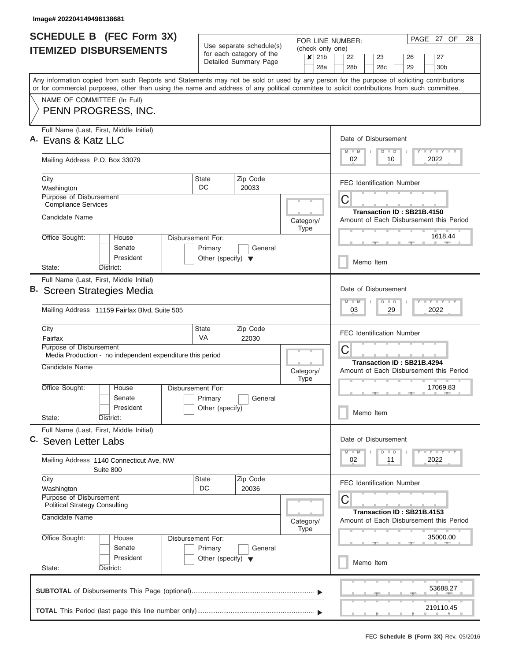| <b>SCHEDULE B (FEC Form 3X)</b>                                                                                                                                                                                                                                                         |                                                                            | Use separate schedule(s)<br>for each category of the<br>Detailed Summary Page |             | PAGE<br>27 OF<br>28<br>FOR LINE NUMBER:                                                     |  |  |  |
|-----------------------------------------------------------------------------------------------------------------------------------------------------------------------------------------------------------------------------------------------------------------------------------------|----------------------------------------------------------------------------|-------------------------------------------------------------------------------|-------------|---------------------------------------------------------------------------------------------|--|--|--|
| <b>ITEMIZED DISBURSEMENTS</b>                                                                                                                                                                                                                                                           |                                                                            |                                                                               |             | (check only one)<br>22<br>27<br>23<br>26<br>30 <sub>b</sub><br>28 <sub>b</sub><br>28c<br>29 |  |  |  |
| Any information copied from such Reports and Statements may not be sold or used by any person for the purpose of soliciting contributions<br>or for commercial purposes, other than using the name and address of any political committee to solicit contributions from such committee. |                                                                            |                                                                               | 28a         |                                                                                             |  |  |  |
| NAME OF COMMITTEE (In Full)<br>PENN PROGRESS, INC.                                                                                                                                                                                                                                      |                                                                            |                                                                               |             |                                                                                             |  |  |  |
| Full Name (Last, First, Middle Initial)<br>Evans & Katz LLC                                                                                                                                                                                                                             |                                                                            | Date of Disbursement<br>Y FY FY FY<br>$M$ $M$<br>$D$ $D$<br>02<br>2022<br>10  |             |                                                                                             |  |  |  |
| Mailing Address P.O. Box 33079                                                                                                                                                                                                                                                          |                                                                            |                                                                               |             |                                                                                             |  |  |  |
| City<br>Washington                                                                                                                                                                                                                                                                      | <b>State</b><br>DC.                                                        | Zip Code<br>20033                                                             |             | <b>FEC Identification Number</b>                                                            |  |  |  |
| Purpose of Disbursement<br><b>Compliance Services</b><br>Candidate Name                                                                                                                                                                                                                 | Category/                                                                  | С<br>Transaction ID: SB21B.4150<br>Amount of Each Disbursement this Period    |             |                                                                                             |  |  |  |
| Office Sought:<br>House<br>Senate<br>President                                                                                                                                                                                                                                          | Disbursement For:<br>Primary<br>Other (specify) $\blacktriangledown$       | General                                                                       | <b>Type</b> | 1618.44<br>Memo Item                                                                        |  |  |  |
| State:<br>District:                                                                                                                                                                                                                                                                     |                                                                            |                                                                               |             |                                                                                             |  |  |  |
| Full Name (Last, First, Middle Initial)<br>В.<br>Screen Strategies Media                                                                                                                                                                                                                |                                                                            | Date of Disbursement<br>Y FY FY FY<br>$M - M$<br>$D$ $D$                      |             |                                                                                             |  |  |  |
| Mailing Address 11159 Fairfax Blvd, Suite 505                                                                                                                                                                                                                                           |                                                                            | 29<br>2022<br>03                                                              |             |                                                                                             |  |  |  |
| City<br>Fairfax                                                                                                                                                                                                                                                                         | State<br>VA                                                                | Zip Code<br>22030                                                             |             | <b>FEC Identification Number</b>                                                            |  |  |  |
| Purpose of Disbursement<br>Media Production - no independent expenditure this period                                                                                                                                                                                                    |                                                                            | C<br>Transaction ID: SB21B.4294                                               |             |                                                                                             |  |  |  |
| Candidate Name                                                                                                                                                                                                                                                                          | Amount of Each Disbursement this Period                                    |                                                                               |             |                                                                                             |  |  |  |
| Office Sought:<br>House<br>Senate<br>President<br>State:                                                                                                                                                                                                                                | Disbursement For:<br>Primary<br>Other (specify)                            | General                                                                       |             | 17069.83<br>Memo Item                                                                       |  |  |  |
| District:<br>Full Name (Last, First, Middle Initial)                                                                                                                                                                                                                                    |                                                                            |                                                                               |             |                                                                                             |  |  |  |
| C. Seven Letter Labs                                                                                                                                                                                                                                                                    | Date of Disbursement<br>Y FY FY FY<br>$M - M$<br>$D$ $D$                   |                                                                               |             |                                                                                             |  |  |  |
| Mailing Address 1140 Connecticut Ave, NW<br>Suite 800                                                                                                                                                                                                                                   |                                                                            |                                                                               |             | 2022<br>02<br>11                                                                            |  |  |  |
| City<br>Washington<br>Purpose of Disbursement                                                                                                                                                                                                                                           | State<br>DC                                                                | Zip Code<br>20036                                                             |             | <b>FEC Identification Number</b>                                                            |  |  |  |
| <b>Political Strategy Consulting</b><br>Candidate Name                                                                                                                                                                                                                                  | С<br>Transaction ID: SB21B.4153<br>Amount of Each Disbursement this Period |                                                                               |             |                                                                                             |  |  |  |
| Office Sought:<br>Disbursement For:<br>House                                                                                                                                                                                                                                            | Category/<br><b>Type</b>                                                   | 35000.00                                                                      |             |                                                                                             |  |  |  |
| Senate<br>President<br>State:<br>District:                                                                                                                                                                                                                                              | Primary<br>Other (specify) $\blacktriangledown$                            | General                                                                       |             | Memo Item                                                                                   |  |  |  |
|                                                                                                                                                                                                                                                                                         |                                                                            |                                                                               |             | 53688.27                                                                                    |  |  |  |
|                                                                                                                                                                                                                                                                                         |                                                                            |                                                                               |             | 219110.45                                                                                   |  |  |  |
|                                                                                                                                                                                                                                                                                         |                                                                            |                                                                               |             |                                                                                             |  |  |  |